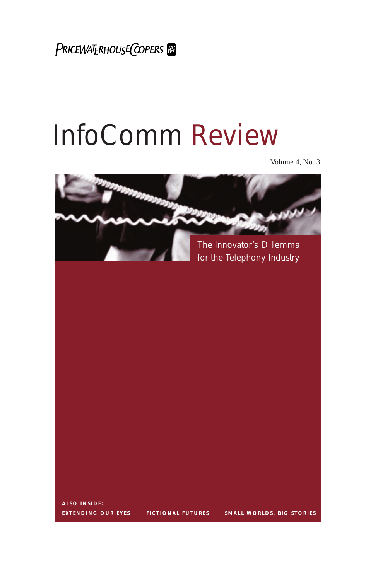PRICEWATERHOUSE COPERS

# InfoComm Review

Volume 4, No. 3

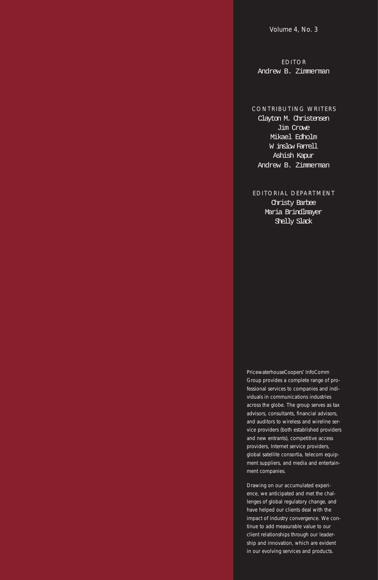EDITOR Andrew B. Zimmerman

CONTRIBUTING WRITERS Clayton M. Christensen Jim Crowe Mikael Edholm W inslow Farrell Ashish Kapur Andrew B. Zimmerman

EDITORIAL DEPARTMENT Christy Barbee Maria Brindlmayer Shelly Slack

PricewaterhouseCoopers' InfoComm Group provides a complete range of professional services to companies and individuals in communications industries across the globe. The group serves as tax advisors, consultants, financial advisors, and auditors to wireless and wireline service providers (both established providers and new entrants), competitive access providers, Internet service providers, global satellite consortia, telecom equipment suppliers, and media and entertainment companies.

Drawing on our accumulated experience, we anticipated and met the challenges of global regulatory change, and have helped our clients deal with the impact of industry convergence. We continue to add measurable value to our client relationships through our leadership and innovation, which are evident in our evolving services and products.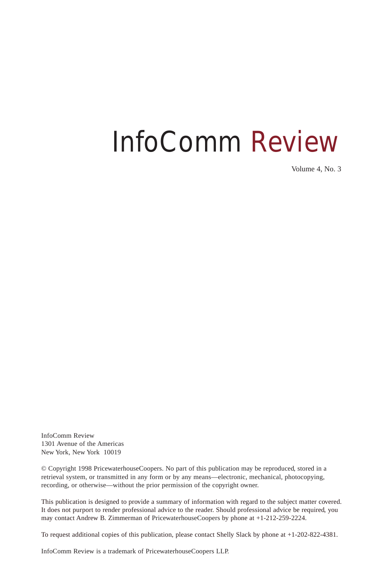# InfoComm Review

Volume 4, No. 3

InfoComm Review 1301 Avenue of the Americas New York, New York 10019

© Copyright 1998 PricewaterhouseCoopers. No part of this publication may be reproduced, stored in a retrieval system, or transmitted in any form or by any means—electronic, mechanical, photocopying, recording, or otherwise—without the prior permission of the copyright owner.

This publication is designed to provide a summary of information with regard to the subject matter covered. It does not purport to render professional advice to the reader. Should professional advice be required, you may contact Andrew B. Zimmerman of PricewaterhouseCoopers by phone at +1-212-259-2224.

To request additional copies of this publication, please contact Shelly Slack by phone at +1-202-822-4381.

InfoComm Review is a trademark of PricewaterhouseCoopers LLP.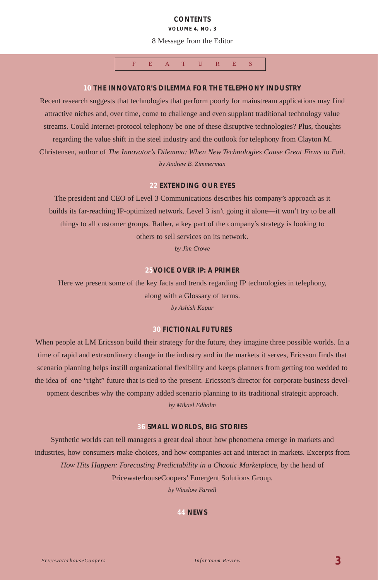### **CONTENTS**

**VOLUME 4, NO. 3**

8 Message from the Editor

FEATURES

### **10 THE INNOVATOR'S DILEMMA FOR THE TELEPHONY INDUSTRY**

Recent research suggests that technologies that perform poorly for mainstream applications may find attractive niches and, over time, come to challenge and even supplant traditional technology value streams. Could Internet-protocol telephony be one of these disruptive technologies? Plus, thoughts regarding the value shift in the steel industry and the outlook for telephony from Clayton M. Christensen, author of *The Innovator's Dilemma: When New Technologies Cause Great Firms to Fail. by Andrew B. Zimmerman* 

### **22 EXTENDING OUR EYES**

The president and CEO of Level 3 Communications describes his company's approach as it builds its far-reaching IP-optimized network. Level 3 isn't going it alone—it won't try to be all things to all customer groups. Rather, a key part of the company's strategy is looking to others to sell services on its network.

*by Jim Crowe* 

### **25VOICE OVER IP: A PRIMER**

Here we present some of the key facts and trends regarding IP technologies in telephony, along with a Glossary of terms.

*by Ashish Kapur*

### **30 FICTIONAL FUTURES**

When people at LM Ericsson build their strategy for the future, they imagine three possible worlds. In a time of rapid and extraordinary change in the industry and in the markets it serves, Ericsson finds that scenario planning helps instill organizational flexibility and keeps planners from getting too wedded to the idea of one "right" future that is tied to the present. Ericsson's director for corporate business development describes why the company added scenario planning to its traditional strategic approach.

*by Mikael Edholm*

### **36 SMALL WORLDS, BIG STORIES**

Synthetic worlds can tell managers a great deal about how phenomena emerge in markets and industries, how consumers make choices, and how companies act and interact in markets. Excerpts from *How Hits Happen: Forecasting Predictability in a Chaotic Marketplac*e, by the head of PricewaterhouseCoopers' Emergent Solutions Group.

*by Winslow Farrell*

### **44 NEWS**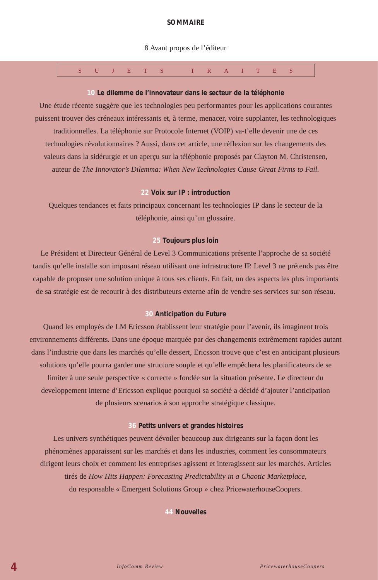### **SOMMAIRE**

8 Avant propos de l'éditeur

|  |  |  |  |  |  |  | SUJETS TRAITES |  |  |  |  |  |  |  |
|--|--|--|--|--|--|--|----------------|--|--|--|--|--|--|--|
|--|--|--|--|--|--|--|----------------|--|--|--|--|--|--|--|

### **10 Le dilemme de l'innovateur dans le secteur de la téléphonie**

Une étude récente suggère que les technologies peu performantes pour les applications courantes puissent trouver des créneaux intéressants et, à terme, menacer, voire supplanter, les technologiques traditionnelles. La téléphonie sur Protocole Internet (VOIP) va-t'elle devenir une de ces technologies révolutionnaires ? Aussi, dans cet article, une réflexion sur les changements des valeurs dans la sidérurgie et un aperçu sur la téléphonie proposés par Clayton M. Christensen,

auteur de *The Innovator's Dilemma: When New Technologies Cause Great Firms to Fail.*

### **22 Voix sur IP : introduction**

Quelques tendances et faits principaux concernant les technologies IP dans le secteur de la téléphonie, ainsi qu'un glossaire.

### **25 Toujours plus loin**

Le Président et Directeur Général de Level 3 Communications présente l'approche de sa société tandis qu'elle installe son imposant réseau utilisant une infrastructure IP. Level 3 ne prétends pas être capable de proposer une solution unique à tous ses clients. En fait, un des aspects les plus importants de sa stratégie est de recourir à des distributeurs externe afin de vendre ses services sur son réseau.

### **30 Anticipation du Future**

Quand les employés de LM Ericsson établissent leur stratégie pour l'avenir, ils imaginent trois environnements différents. Dans une époque marquée par des changements extrêmement rapides autant dans l'industrie que dans les marchés qu'elle dessert, Ericsson trouve que c'est en anticipant plusieurs solutions qu'elle pourra garder une structure souple et qu'elle empêchera les planificateurs de se limiter à une seule perspective « correcte » fondée sur la situation présente. Le directeur du developpement interne d'Ericsson explique pourquoi sa société a décidé d'ajouter l'anticipation de plusieurs scenarios à son approche stratégique classique.

### **36 Petits univers et grandes histoires**

Les univers synthétiques peuvent dévoiler beaucoup aux dirigeants sur la façon dont les phénomènes apparaissent sur les marchés et dans les industries, comment les consommateurs dirigent leurs choix et comment les entreprises agissent et interagissent sur les marchés. Articles tirés de *How Hits Happen: Forecasting Predictability in a Chaotic Marketplace,* du responsable « Emergent Solutions Group » chez PricewaterhouseCoopers.

### **44 Nouvelles**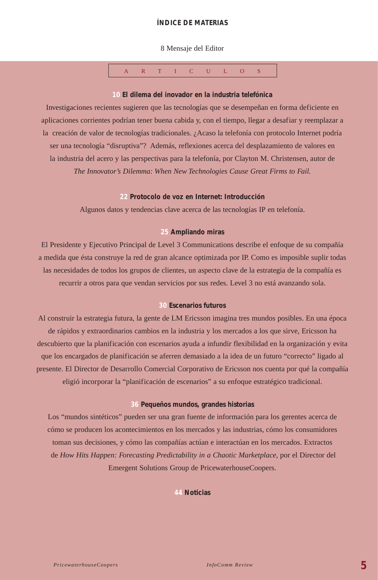### **ÍNDICE DE MATERIAS**

### 8 Mensaje del Editor

ARTICULOS

### **10 El dilema del inovador en la industria telefónica**

Investigaciones recientes sugieren que las tecnologías que se desempeñan en forma deficiente en aplicaciones corrientes podrían tener buena cabida y, con el tiempo, llegar a desafiar y reemplazar a la creación de valor de tecnologías tradicionales. ¿Acaso la telefonía con protocolo Internet podría ser una tecnología "disruptiva"? Además, reflexiones acerca del desplazamiento de valores en la industria del acero y las perspectivas para la telefonía, por Clayton M. Christensen, autor de *The Innovator's Dilemma: When New Technologies Cause Great Firms to Fail.*

### **22 Protocolo de voz en Internet: Introducción**

Algunos datos y tendencias clave acerca de las tecnologías IP en telefonía.

### **25 Ampliando miras**

El Presidente y Ejecutivo Principal de Level 3 Communications describe el enfoque de su compañía a medida que ésta construye la red de gran alcance optimizada por IP. Como es imposible suplir todas las necesidades de todos los grupos de clientes, un aspecto clave de la estrategia de la compañía es recurrir a otros para que vendan servicios por sus redes. Level 3 no está avanzando sola.

### **30 Escenarios futuros**

Al construir la estrategia futura, la gente de LM Ericsson imagina tres mundos posibles. En una época de rápidos y extraordinarios cambios en la industria y los mercados a los que sirve, Ericsson ha descubierto que la planificación con escenarios ayuda a infundir flexibilidad en la organización y evita que los encargados de planificación se aferren demasiado a la idea de un futuro "correcto" ligado al presente. El Director de Desarrollo Comercial Corporativo de Ericsson nos cuenta por qué la compañía eligió incorporar la "planificación de escenarios" a su enfoque estratégico tradicional.

### **36 Pequeños mundos, grandes historias**

Los "mundos sintéticos" pueden ser una gran fuente de información para los gerentes acerca de cómo se producen los acontecimientos en los mercados y las industrias, cómo los consumidores toman sus decisiones, y cómo las compañías actúan e interactúan en los mercados. Extractos de *How Hits Happen: Forecasting Predictability in a Chaotic Marketplace,* por el Director del Emergent Solutions Group de PricewaterhouseCoopers.

**44 Noticias**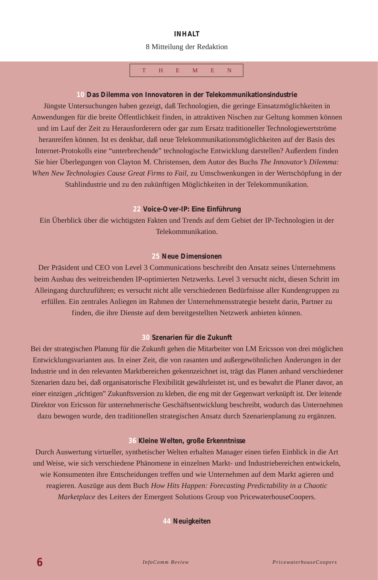### **INHALT**

### 8 Mitteilung der Redaktion

T H E M E N

### **10 Das Dilemma von Innovatoren in der Telekommunikationsindustrie**

Jüngste Untersuchungen haben gezeigt, daß Technologien, die geringe Einsatzmöglichkeiten in Anwendungen für die breite Öffentlichkeit finden, in attraktiven Nischen zur Geltung kommen können und im Lauf der Zeit zu Herausforderern oder gar zum Ersatz traditioneller Technologiewertströme heranreifen können. Ist es denkbar, daß neue Telekommunikationsmöglichkeiten auf der Basis des Internet-Protokolls eine "unterbrechende" technologische Entwicklung darstellen? Außerdem finden Sie hier Überlegungen von Clayton M. Christensen, dem Autor des Buchs *The Innovator's Dilemma: When New Technologies Cause Great Firms to Fail,* zu Umschwenkungen in der Wertschöpfung in der Stahlindustrie und zu den zukünftigen Möglichkeiten in der Telekommunikation.

### **22 Voice-Over-IP: Eine Einführung**

Ein Überblick über die wichtigsten Fakten und Trends auf dem Gebiet der IP-Technologien in der Telekommunikation.

### **25 Neue Dimensionen**

Der Präsident und CEO von Level 3 Communications beschreibt den Ansatz seines Unternehmens beim Ausbau des weitreichenden IP-optimierten Netzwerks. Level 3 versucht nicht, diesen Schritt im Alleingang durchzuführen; es versucht nicht alle verschiedenen Bedürfnisse aller Kundengruppen zu erfüllen. Ein zentrales Anliegen im Rahmen der Unternehmensstrategie besteht darin, Partner zu finden, die ihre Dienste auf dem bereitgestellten Netzwerk anbieten können.

### **30 Szenarien für die Zukunft**

Bei der strategischen Planung für die Zukunft gehen die Mitarbeiter von LM Ericsson von drei möglichen Entwicklungsvarianten aus. In einer Zeit, die von rasanten und außergewöhnlichen Änderungen in der Industrie und in den relevanten Marktbereichen gekennzeichnet ist, trägt das Planen anhand verschiedener Szenarien dazu bei, daß organisatorische Flexibilität gewährleistet ist, und es bewahrt die Planer davor, an einer einzigen "richtigen" Zukunftsversion zu kleben, die eng mit der Gegenwart verknüpft ist. Der leitende Direktor von Ericsson für unternehmerische Geschäftsentwicklung beschreibt, wodurch das Unternehmen dazu bewogen wurde, den traditionellen strategischen Ansatz durch Szenarienplanung zu ergänzen.

### **36 Kleine Welten, große Erkenntnisse**

Durch Auswertung virtueller, synthetischer Welten erhalten Manager einen tiefen Einblick in die Art und Weise, wie sich verschiedene Phänomene in einzelnen Markt- und Industriebereichen entwickeln, wie Konsumenten ihre Entscheidungen treffen und wie Unternehmen auf dem Markt agieren und reagieren. Auszüge aus dem Buch *How Hits Happen: Forecasting Predictability in a Chaotic Marketplace* des Leiters der Emergent Solutions Group von PricewaterhouseCoopers.

**44 Neuigkeiten**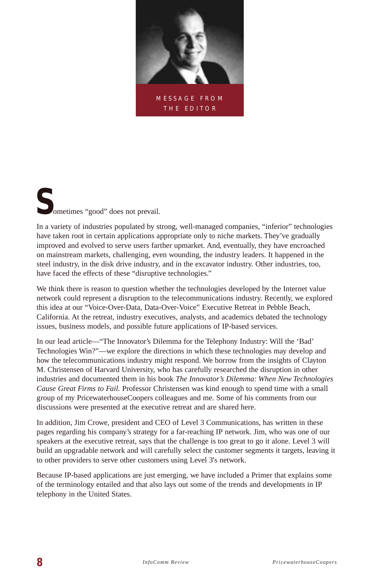

MESSAGE FROM THE EDITOR

ometimes "good" does not prevail.

In a variety of industries populated by strong, well-managed companies, "inferior" technologies have taken root in certain applications appropriate only to niche markets. They've gradually improved and evolved to serve users farther upmarket. And, eventually, they have encroached on mainstream markets, challenging, even wounding, the industry leaders. It happened in the steel industry, in the disk drive industry, and in the excavator industry. Other industries, too, have faced the effects of these "disruptive technologies."

We think there is reason to question whether the technologies developed by the Internet value network could represent a disruption to the telecommunications industry. Recently, we explored this idea at our "Voice-Over-Data, Data-Over-Voice" Executive Retreat in Pebble Beach, California. At the retreat, industry executives, analysts, and academics debated the technology issues, business models, and possible future applications of IP-based services.

In our lead article—"The Innovator's Dilemma for the Telephony Industry: Will the 'Bad' Technologies Win?"—we explore the directions in which these technologies may develop and how the telecommunications industry might respond. We borrow from the insights of Clayton M. Christensen of Harvard University, who has carefully researched the disruption in other industries and documented them in his book *The Innovator's Dilemma: When New Technologies Cause Great Firms to Fail.* Professor Christensen was kind enough to spend time with a small group of my PricewaterhouseCoopers colleagues and me. Some of his comments from our discussions were presented at the executive retreat and are shared here.

In addition, Jim Crowe, president and CEO of Level 3 Communications, has written in these pages regarding his company's strategy for a far-reaching IP network. Jim, who was one of our speakers at the executive retreat, says that the challenge is too great to go it alone. Level 3 will build an upgradable network and will carefully select the customer segments it targets, leaving it to other providers to serve other customers using Level 3's network.

Because IP-based applications are just emerging, we have included a Primer that explains some of the terminology entailed and that also lays out some of the trends and developments in IP telephony in the United States.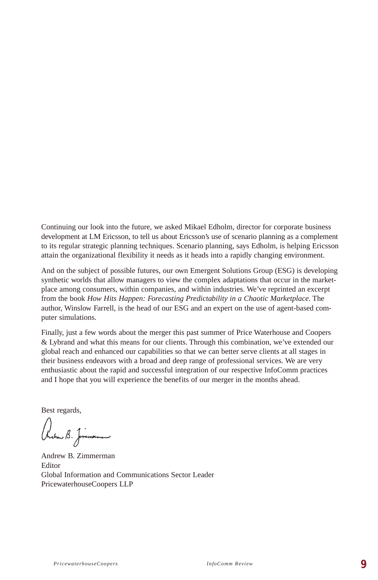Continuing our look into the future, we asked Mikael Edholm, director for corporate business development at LM Ericsson, to tell us about Ericsson's use of scenario planning as a complement to its regular strategic planning techniques. Scenario planning, says Edholm, is helping Ericsson attain the organizational flexibility it needs as it heads into a rapidly changing environment.

And on the subject of possible futures, our own Emergent Solutions Group (ESG) is developing synthetic worlds that allow managers to view the complex adaptations that occur in the marketplace among consumers, within companies, and within industries. We've reprinted an excerpt from the book *How Hits Happen: Forecasting Predictability in a Chaotic Marketplace.* The author, Winslow Farrell, is the head of our ESG and an expert on the use of agent-based computer simulations.

Finally, just a few words about the merger this past summer of Price Waterhouse and Coopers & Lybrand and what this means for our clients. Through this combination, we've extended our global reach and enhanced our capabilities so that we can better serve clients at all stages in their business endeavors with a broad and deep range of professional services. We are very enthusiastic about the rapid and successful integration of our respective InfoComm practices and I hope that you will experience the benefits of our merger in the months ahead.

Best regards,

(hohen B. Jimmanne

Andrew B. Zimmerman Editor Global Information and Communications Sector Leader PricewaterhouseCoopers LLP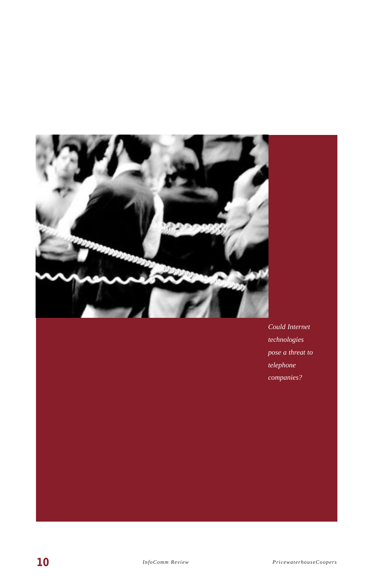

*Could Internet technologies pose a threat to telephone companies?*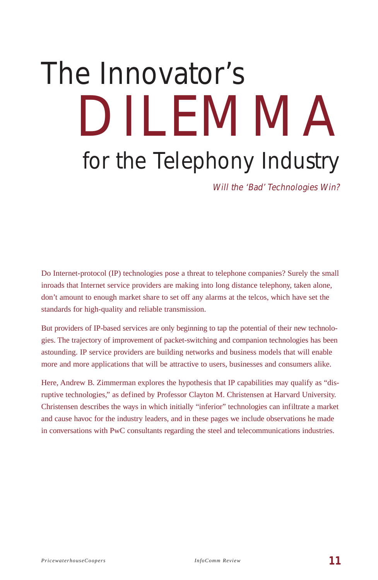# The Innovator's DILEMMA for the Telephony Industry

Will the 'Bad' Technologies Win?

Do Internet-protocol (IP) technologies pose a threat to telephone companies? Surely the small inroads that Internet service providers are making into long distance telephony, taken alone, don't amount to enough market share to set off any alarms at the telcos, which have set the standards for high-quality and reliable transmission.

But providers of IP-based services are only beginning to tap the potential of their new technologies. The trajectory of improvement of packet-switching and companion technologies has been astounding. IP service providers are building networks and business models that will enable more and more applications that will be attractive to users, businesses and consumers alike.

Here, Andrew B. Zimmerman explores the hypothesis that IP capabilities may qualify as "disruptive technologies," as defined by Professor Clayton M. Christensen at Harvard University. Christensen describes the ways in which initially "inferior" technologies can infiltrate a market and cause havoc for the industry leaders, and in these pages we include observations he made in conversations with PwC consultants regarding the steel and telecommunications industries.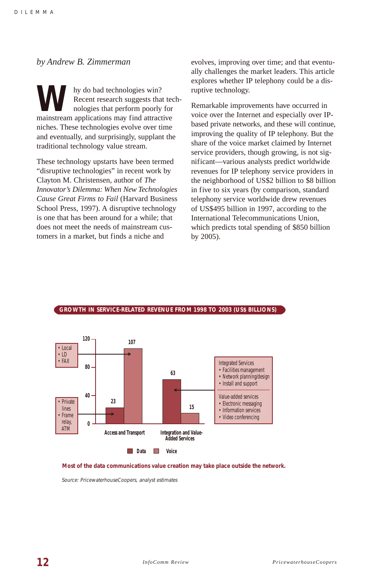### *by Andrew B. Zimmerman*

**W** hy do bad technologies win?<br>
Recent research suggests that te<br>
mainstream applications may find attractive Recent research suggests that technologies that perform poorly for niches. These technologies evolve over time and eventually, and surprisingly, supplant the traditional technology value stream.

These technology upstarts have been termed "disruptive technologies" in recent work by Clayton M. Christensen, author of *The Innovator's Dilemma: When New Technologies Cause Great Firms to Fail* (Harvard Business School Press, 1997). A disruptive technology is one that has been around for a while; that does not meet the needs of mainstream customers in a market, but finds a niche and

evolves, improving over time; and that eventually challenges the market leaders. This article explores whether IP telephony could be a disruptive technology.

Remarkable improvements have occurred in voice over the Internet and especially over IPbased private networks, and these will continue, improving the quality of IP telephony. But the share of the voice market claimed by Internet service providers, though growing, is not significant—various analysts predict worldwide revenues for IP telephony service providers in the neighborhood of US\$2 billion to \$8 billion in five to six years (by comparison, standard telephony service worldwide drew revenues of US\$495 billion in 1997, according to the International Telecommunications Union, which predicts total spending of \$850 billion by 2005).



#### **GROWTH IN SERVICE-RELATED REVENUE FROM 1998 TO 2003 (US\$ BILLIONS)**

**Most of the data communications value creation may take place outside the network.**

Source: PricewaterhouseCoopers, analyst estimates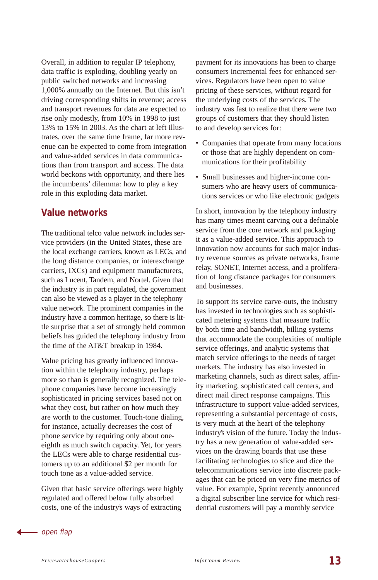Overall, in addition to regular IP telephony, data traffic is exploding, doubling yearly on public switched networks and increasing 1,000% annually on the Internet. But this isn't driving corresponding shifts in revenue; access and transport revenues for data are expected to rise only modestly, from 10% in 1998 to just 13% to 15% in 2003. As the chart at left illustrates, over the same time frame, far more revenue can be expected to come from integration and value-added services in data communications than from transport and access. The data world beckons with opportunity, and there lies the incumbents' dilemma: how to play a key role in this exploding data market.

### **Value networks**

The traditional telco value network includes service providers (in the United States, these are the local exchange carriers, known as LECs, and the long distance companies, or interexchange carriers, IXCs) and equipment manufacturers, such as Lucent, Tandem, and Nortel. Given that the industry is in part regulated, the government can also be viewed as a player in the telephony value network. The prominent companies in the industry have a common heritage, so there is little surprise that a set of strongly held common beliefs has guided the telephony industry from the time of the AT&T breakup in 1984.

Value pricing has greatly influenced innovation within the telephony industry, perhaps more so than is generally recognized. The telephone companies have become increasingly sophisticated in pricing services based not on what they cost, but rather on how much they are worth to the customer. Touch-tone dialing, for instance, actually decreases the cost of phone service by requiring only about oneeighth as much switch capacity. Yet, for years the LECs were able to charge residential customers up to an additional \$2 per month for touch tone as a value-added service.

Given that basic service offerings were highly regulated and offered below fully absorbed costs, one of the industry's ways of extracting

payment for its innovations has been to charge consumers incremental fees for enhanced services. Regulators have been open to value pricing of these services, without regard for the underlying costs of the services. The industry was fast to realize that there were two groups of customers that they should listen to and develop services for:

- Companies that operate from many locations or those that are highly dependent on communications for their profitability
- Small businesses and higher-income consumers who are heavy users of communications services or who like electronic gadgets

In short, innovation by the telephony industry has many times meant carving out a definable service from the core network and packaging it as a value-added service. This approach to innovation now accounts for such major industry revenue sources as private networks, frame relay, SONET, Internet access, and a proliferation of long distance packages for consumers and businesses.

To support its service carve-outs, the industry has invested in technologies such as sophisticated metering systems that measure traffic by both time and bandwidth, billing systems that accommodate the complexities of multiple service offerings, and analytic systems that match service offerings to the needs of target markets. The industry has also invested in marketing channels, such as direct sales, affinity marketing, sophisticated call centers, and direct mail direct response campaigns. This infrastructure to support value-added services, representing a substantial percentage of costs, is very much at the heart of the telephony industry's vision of the future. Today the industry has a new generation of value-added services on the drawing boards that use these facilitating technologies to slice and dice the telecommunications service into discrete packages that can be priced on very fine metrics of value. For example, Sprint recently announced a digital subscriber line service for which residential customers will pay a monthly service

- open flap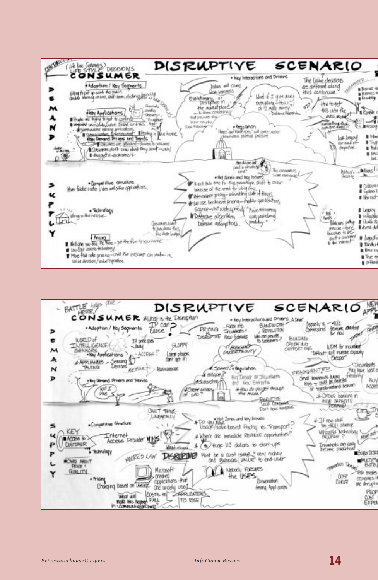

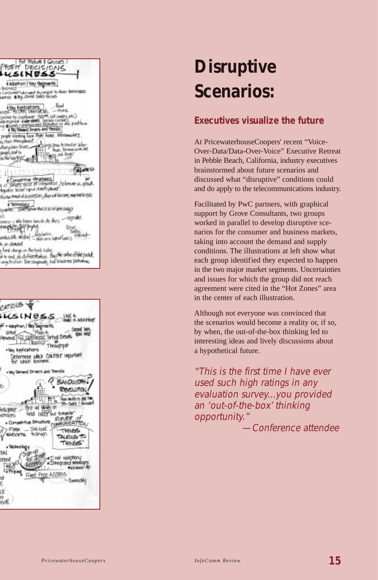



### **Disruptive Scenarios:**

### **Executives visualize the future**

At PricewaterhouseCoopers' recent "Voice-Over-Data/Data-Over-Voice" Executive Retreat in Pebble Beach, California, industry executives brainstormed about future scenarios and discussed what "disruptive" conditions could and do apply to the telecommunications industry.

Facilitated by PwC partners, with graphical support by Grove Consultants, two groups worked in parallel to develop disruptive scenarios for the consumer and business markets, taking into account the demand and supply conditions. The illustrations at left show what each group identified they expected to happen in the two major market segments. Uncertainties and issues for which the group did not reach agreement were cited in the "Hot Zones" area in the center of each illustration.

Although not everyone was convinced that the scenarios would become a reality or, if so, by when, the out-of-the-box thinking led to interesting ideas and lively discussions about a hypothetical future.

"This is the first time I have ever used such high ratings in any evaluation survey...you provided an 'out-of-the-box' thinking opportunity."

—Conference attendee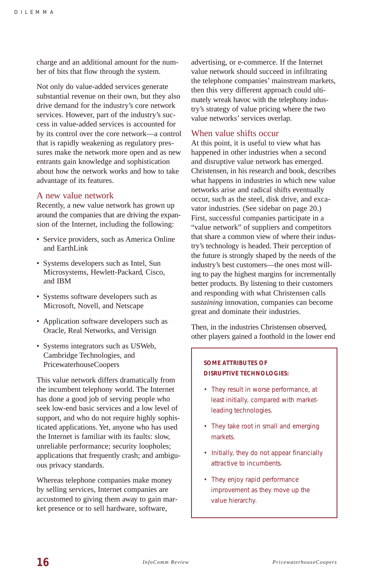charge and an additional amount for the number of bits that flow through the system.

Not only do value-added services generate substantial revenue on their own, but they also drive demand for the industry's core network services. However, part of the industry's success in value-added services is accounted for by its control over the core network—a control that is rapidly weakening as regulatory pressures make the network more open and as new entrants gain knowledge and sophistication about how the network works and how to take advantage of its features.

### A new value network

Recently, a new value network has grown up around the companies that are driving the expansion of the Internet, including the following:

- Service providers, such as America Online and EarthLink
- Systems developers such as Intel, Sun Microsystems, Hewlett-Packard, Cisco, and IBM
- Systems software developers such as Microsoft, Novell, and Netscape
- Application software developers such as Oracle, Real Networks, and Verisign
- Systems integrators such as USWeb, Cambridge Technologies, and PricewaterhouseCoopers

This value network differs dramatically from the incumbent telephony world. The Internet has done a good job of serving people who seek low-end basic services and a low level of support, and who do not require highly sophisticated applications. Yet, anyone who has used the Internet is familiar with its faults: slow, unreliable performance; security loopholes; applications that frequently crash; and ambiguous privacy standards.

Whereas telephone companies make money by selling services, Internet companies are accustomed to giving them away to gain market presence or to sell hardware, software,

advertising, or e-commerce. If the Internet value network should succeed in infiltrating the telephone companies' mainstream markets, then this very different approach could ultimately wreak havoc with the telephony industry's strategy of value pricing where the two value networks' services overlap.

### When value shifts occur

At this point, it is useful to view what has happened in other industries when a second and disruptive value network has emerged. Christensen, in his research and book, describes what happens in industries in which new value networks arise and radical shifts eventually occur, such as the steel, disk drive, and excavator industries. (See sidebar on page 20.) First, successful companies participate in a "value network" of suppliers and competitors that share a common view of where their industry's technology is headed. Their perception of the future is strongly shaped by the needs of the industry's best customers—the ones most willing to pay the highest margins for incrementally better products. By listening to their customers and responding with what Christensen calls *sustaining* innovation, companies can become great and dominate their industries.

Then, in the industries Christensen observed, other players gained a foothold in the lower end

### **SOME ATTRIBUTES OF DISRUPTIVE TECHNOLOGIES:**

- They result in worse performance, at least initially, compared with marketleading technologies.
- They take root in small and emerging markets.
- Initially, they do not appear financially attractive to incumbents.
- They enjoy rapid performance improvement as they move up the value hierarchy.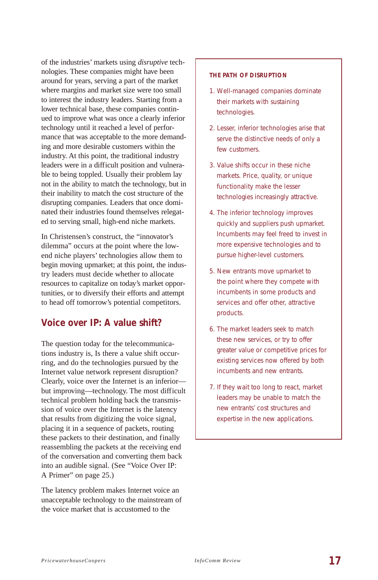of the industries' markets using *disruptive* technologies. These companies might have been around for years, serving a part of the market where margins and market size were too small to interest the industry leaders. Starting from a lower technical base, these companies continued to improve what was once a clearly inferior technology until it reached a level of performance that was acceptable to the more demanding and more desirable customers within the industry. At this point, the traditional industry leaders were in a difficult position and vulnerable to being toppled. Usually their problem lay not in the ability to match the technology, but in their inability to match the cost structure of the disrupting companies. Leaders that once dominated their industries found themselves relegated to serving small, high-end niche markets.

In Christensen's construct, the "innovator's dilemma" occurs at the point where the lowend niche players' technologies allow them to begin moving upmarket; at this point, the industry leaders must decide whether to allocate resources to capitalize on today's market opportunities, or to diversify their efforts and attempt to head off tomorrow's potential competitors.

### **Voice over IP: A value shift?**

The question today for the telecommunications industry is, Is there a value shift occurring, and do the technologies pursued by the Internet value network represent disruption? Clearly, voice over the Internet is an inferior but improving—technology. The most difficult technical problem holding back the transmission of voice over the Internet is the latency that results from digitizing the voice signal, placing it in a sequence of packets, routing these packets to their destination, and finally reassembling the packets at the receiving end of the conversation and converting them back into an audible signal. (See "Voice Over IP: A Primer" on page 25.)

The latency problem makes Internet voice an unacceptable technology to the mainstream of the voice market that is accustomed to the

### **THE PATH OF DISRUPTION**

- 1. Well-managed companies dominate their markets with sustaining technologies.
- 2. Lesser, inferior technologies arise that serve the distinctive needs of only a few customers.
- 3. Value shifts occur in these niche markets. Price, quality, or unique functionality make the lesser technologies increasingly attractive.
- 4. The inferior technology improves quickly and suppliers push upmarket. Incumbents may feel freed to invest in more expensive technologies and to pursue higher-level customers.
- 5. New entrants move upmarket to the point where they compete with incumbents in some products and services and offer other, attractive products.
- 6. The market leaders seek to match these new services, or try to offer greater value or competitive prices for existing services now offered by both incumbents and new entrants.
- 7. If they wait too long to react, market leaders may be unable to match the new entrants' cost structures and expertise in the new applications.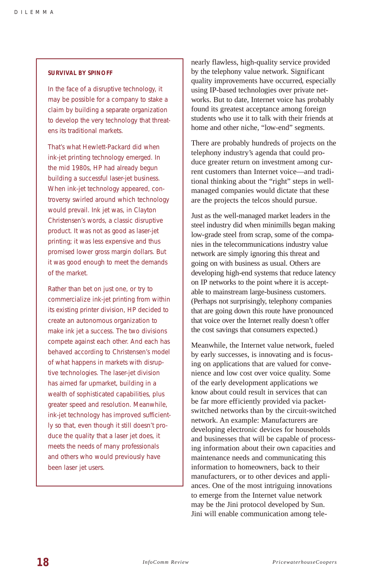### **SURVIVAL BY SPINOFF**

In the face of a disruptive technology, it may be possible for a company to stake a claim by building a separate organization to develop the very technology that threatens its traditional markets.

That's what Hewlett-Packard did when ink-jet printing technology emerged. In the mid 1980s, HP had already begun building a successful laser-jet business. When ink-jet technology appeared, controversy swirled around which technology would prevail. Ink jet was, in Clayton Christensen's words, a classic disruptive product. It was not as good as laser-jet printing; it was less expensive and thus promised lower gross margin dollars. But it was good enough to meet the demands of the market.

Rather than bet on just one, or try to commercialize ink-jet printing from within its existing printer division, HP decided to create an autonomous organization to make ink jet a success. The two divisions compete against each other. And each has behaved according to Christensen's model of what happens in markets with disruptive technologies. The laser-jet division has aimed far upmarket, building in a wealth of sophisticated capabilities, plus greater speed and resolution. Meanwhile, ink-jet technology has improved sufficiently so that, even though it still doesn't produce the quality that a laser jet does, it meets the needs of many professionals and others who would previously have been laser jet users.

nearly flawless, high-quality service provided by the telephony value network. Significant quality improvements have occurred, especially using IP-based technologies over private networks. But to date, Internet voice has probably found its greatest acceptance among foreign students who use it to talk with their friends at home and other niche, "low-end" segments.

There are probably hundreds of projects on the telephony industry's agenda that could produce greater return on investment among current customers than Internet voice—and traditional thinking about the "right" steps in wellmanaged companies would dictate that these are the projects the telcos should pursue.

Just as the well-managed market leaders in the steel industry did when minimills began making low-grade steel from scrap, some of the companies in the telecommunications industry value network are simply ignoring this threat and going on with business as usual. Others are developing high-end systems that reduce latency on IP networks to the point where it is acceptable to mainstream large-business customers. (Perhaps not surprisingly, telephony companies that are going down this route have pronounced that voice over the Internet really doesn't offer the cost savings that consumers expected.)

Meanwhile, the Internet value network, fueled by early successes, is innovating and is focusing on applications that are valued for convenience and low cost over voice quality. Some of the early development applications we know about could result in services that can be far more efficiently provided via packetswitched networks than by the circuit-switched network. An example: Manufacturers are developing electronic devices for households and businesses that will be capable of processing information about their own capacities and maintenance needs and communicating this information to homeowners, back to their manufacturers, or to other devices and appliances. One of the most intriguing innovations to emerge from the Internet value network may be the Jini protocol developed by Sun. Jini will enable communication among tele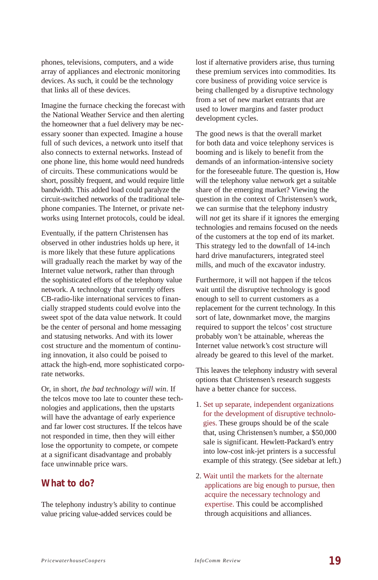phones, televisions, computers, and a wide array of appliances and electronic monitoring devices. As such, it could be the technology that links all of these devices.

Imagine the furnace checking the forecast with the National Weather Service and then alerting the homeowner that a fuel delivery may be necessary sooner than expected. Imagine a house full of such devices, a network unto itself that also connects to external networks. Instead of one phone line, this home would need hundreds of circuits. These communications would be short, possibly frequent, and would require little bandwidth. This added load could paralyze the circuit-switched networks of the traditional telephone companies. The Internet, or private networks using Internet protocols, could be ideal.

Eventually, if the pattern Christensen has observed in other industries holds up here, it is more likely that these future applications will gradually reach the market by way of the Internet value network, rather than through the sophisticated efforts of the telephony value network. A technology that currently offers CB-radio-like international services to financially strapped students could evolve into the sweet spot of the data value network. It could be the center of personal and home messaging and statusing networks. And with its lower cost structure and the momentum of continuing innovation, it also could be poised to attack the high-end, more sophisticated corporate networks.

Or, in short, *the bad technology will win*. If the telcos move too late to counter these technologies and applications, then the upstarts will have the advantage of early experience and far lower cost structures. If the telcos have not responded in time, then they will either lose the opportunity to compete, or compete at a significant disadvantage and probably face unwinnable price wars.

### **What to do?**

The telephony industry's ability to continue value pricing value-added services could be

lost if alternative providers arise, thus turning these premium services into commodities. Its core business of providing voice service is being challenged by a disruptive technology from a set of new market entrants that are used to lower margins and faster product development cycles.

The good news is that the overall market for both data and voice telephony services is booming and is likely to benefit from the demands of an information-intensive society for the foreseeable future. The question is, How will the telephony value network get a suitable share of the emerging market? Viewing the question in the context of Christensen's work, we can surmise that the telephony industry will *not* get its share if it ignores the emerging technologies and remains focused on the needs of the customers at the top end of its market. This strategy led to the downfall of 14-inch hard drive manufacturers, integrated steel mills, and much of the excavator industry.

Furthermore, it will not happen if the telcos wait until the disruptive technology is good enough to sell to current customers as a replacement for the current technology. In this sort of late, downmarket move, the margins required to support the telcos' cost structure probably won't be attainable, whereas the Internet value network's cost structure will already be geared to this level of the market.

This leaves the telephony industry with several options that Christensen's research suggests have a better chance for success.

- 1. Set up separate, independent organizations for the development of disruptive technologies. These groups should be of the scale that, using Christensen's number, a \$50,000 sale is significant. Hewlett-Packard's entry into low-cost ink-jet printers is a successful example of this strategy. (See sidebar at left.)
- 2. Wait until the markets for the alternate applications are big enough to pursue, then acquire the necessary technology and expertise. This could be accomplished through acquisitions and alliances.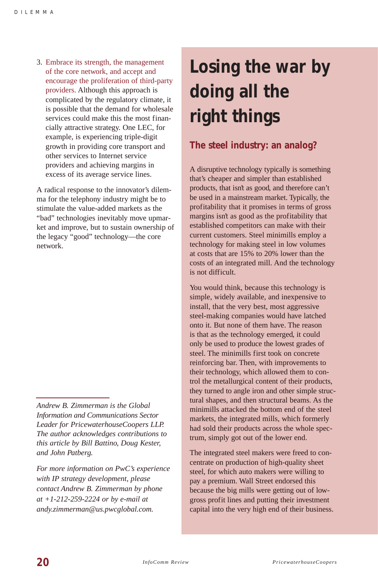3. Embrace its strength, the management of the core network, and accept and encourage the proliferation of third-party providers. Although this approach is complicated by the regulatory climate, it is possible that the demand for wholesale services could make this the most financially attractive strategy. One LEC, for example, is experiencing triple-digit growth in providing core transport and other services to Internet service providers and achieving margins in excess of its average service lines.

A radical response to the innovator's dilemma for the telephony industry might be to stimulate the value-added markets as the "bad" technologies inevitably move upmarket and improve, but to sustain ownership of the legacy "good" technology—the core network.

*For more information on PwC's experience with IP strategy development, please contact Andrew B. Zimmerman by phone at +1-212-259-2224 or by e-mail at andy.zimmerman@us.pwcglobal.com.*

## **Losing the war by doing all the right things**

### **The steel industry: an analog?**

A disruptive technology typically is something that's cheaper and simpler than established products, that isn't as good, and therefore can't be used in a mainstream market. Typically, the profitability that it promises in terms of gross margins isn't as good as the profitability that established competitors can make with their current customers. Steel minimills employ a technology for making steel in low volumes at costs that are 15% to 20% lower than the costs of an integrated mill. And the technology is not difficult.

You would think, because this technology is simple, widely available, and inexpensive to install, that the very best, most aggressive steel-making companies would have latched onto it. But none of them have. The reason is that as the technology emerged, it could only be used to produce the lowest grades of steel. The minimills first took on concrete reinforcing bar. Then, with improvements to their technology, which allowed them to control the metallurgical content of their products, they turned to angle iron and other simple structural shapes, and then structural beams. As the minimills attacked the bottom end of the steel markets, the integrated mills, which formerly had sold their products across the whole spectrum, simply got out of the lower end.

The integrated steel makers were freed to concentrate on production of high-quality sheet steel, for which auto makers were willing to pay a premium. Wall Street endorsed this because the big mills were getting out of lowgross profit lines and putting their investment capital into the very high end of their business.

*Andrew B. Zimmerman is the Global Information and Communications Sector Leader for PricewaterhouseCoopers LLP. The author acknowledges contributions to this article by Bill Battino, Doug Kester, and John Patberg.*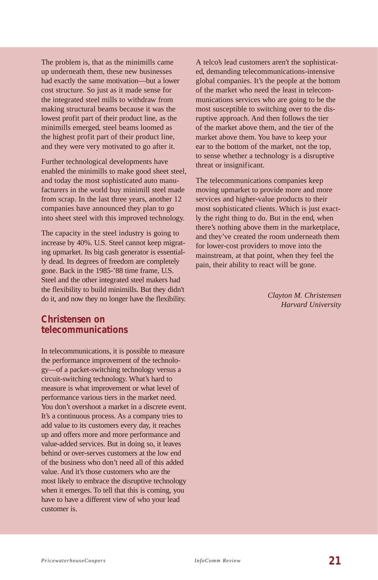The problem is, that as the minimills came up underneath them, these new businesses had exactly the same motivation—but a lower cost structure. So just as it made sense for the integrated steel mills to withdraw from making structural beams because it was the lowest profit part of their product line, as the minimills emerged, steel beams loomed as the highest profit part of their product line, and they were very motivated to go after it.

Further technological developments have enabled the minimills to make good sheet steel, and today the most sophisticated auto manufacturers in the world buy minimill steel made from scrap. In the last three years, another 12 companies have announced they plan to go into sheet steel with this improved technology.

The capacity in the steel industry is going to increase by 40%. U.S. Steel cannot keep migrating upmarket. Its big cash generator is essentially dead. Its degrees of freedom are completely gone. Back in the 1985-'88 time frame, U.S. Steel and the other integrated steel makers had the flexibility to build minimills. But they didn't do it, and now they no longer have the flexibility.

### **Christensen on telecommunications**

In telecommunications, it is possible to measure the performance improvement of the technology—of a packet-switching technology versus a circuit-switching technology. What's hard to measure is what improvement or what level of performance various tiers in the market need. You don't overshoot a market in a discrete event. It's a continuous process. As a company tries to add value to its customers every day, it reaches up and offers more and more performance and value-added services. But in doing so, it leaves behind or over-serves customers at the low end of the business who don't need all of this added value. And it's those customers who are the most likely to embrace the disruptive technology when it emerges. To tell that this is coming, you have to have a different view of who your lead customer is.

A telco's lead customers aren't the sophisticated, demanding telecommunications-intensive global companies. It's the people at the bottom of the market who need the least in telecommunications services who are going to be the most susceptible to switching over to the disruptive approach. And then follows the tier of the market above them, and the tier of the market above them. You have to keep your ear to the bottom of the market, not the top, to sense whether a technology is a disruptive threat or insignificant.

The telecommunications companies keep moving upmarket to provide more and more services and higher-value products to their most sophisticated clients. Which is just exactly the right thing to do. But in the end, when there's nothing above them in the marketplace, and they've created the room underneath them for lower-cost providers to move into the mainstream, at that point, when they feel the pain, their ability to react will be gone.

> *Clayton M. Christensen Harvard University*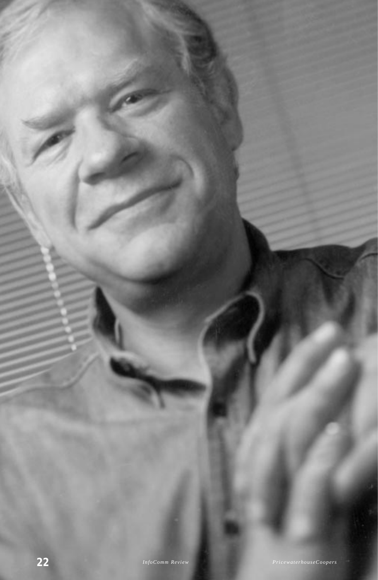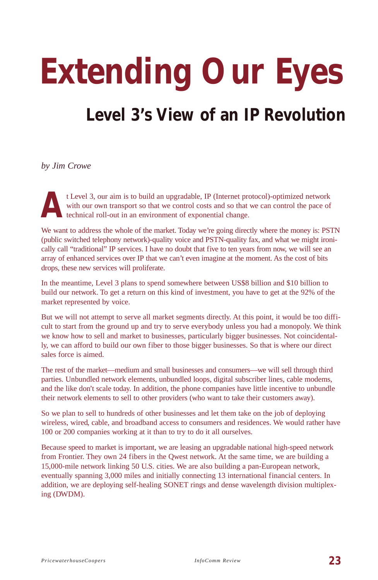# **Extending Our Eyes**

### **Level 3's View of an IP Revolution**

*by Jim Crowe*

**A**t Level 3, our aim is to build an upgradable, IP (Internet protocol)-optimized network with our own transport so that we control costs and so that we can control the pace of technical roll-out in an environment of expon with our own transport so that we control costs and so that we can control the pace of technical roll-out in an environment of exponential change.

We want to address the whole of the market. Today we're going directly where the money is: PSTN (public switched telephony network)-quality voice and PSTN-quality fax, and what we might ironically call "traditional" IP services. I have no doubt that five to ten years from now, we will see an array of enhanced services over IP that we can't even imagine at the moment. As the cost of bits drops, these new services will proliferate.

In the meantime, Level 3 plans to spend somewhere between US\$8 billion and \$10 billion to build our network. To get a return on this kind of investment, you have to get at the 92% of the market represented by voice.

But we will not attempt to serve all market segments directly. At this point, it would be too difficult to start from the ground up and try to serve everybody unless you had a monopoly. We think we know how to sell and market to businesses, particularly bigger businesses. Not coincidentally, we can afford to build our own fiber to those bigger businesses. So that is where our direct sales force is aimed.

The rest of the market—medium and small businesses and consumers—we will sell through third parties. Unbundled network elements, unbundled loops, digital subscriber lines, cable modems, and the like don't scale today. In addition, the phone companies have little incentive to unbundle their network elements to sell to other providers (who want to take their customers away).

So we plan to sell to hundreds of other businesses and let them take on the job of deploying wireless, wired, cable, and broadband access to consumers and residences. We would rather have 100 or 200 companies working at it than to try to do it all ourselves.

Because speed to market is important, we are leasing an upgradable national high-speed network from Frontier. They own 24 fibers in the Qwest network. At the same time, we are building a 15,000-mile network linking 50 U.S. cities. We are also building a pan-European network, eventually spanning 3,000 miles and initially connecting 13 international financial centers. In addition, we are deploying self-healing SONET rings and dense wavelength division multiplexing (DWDM).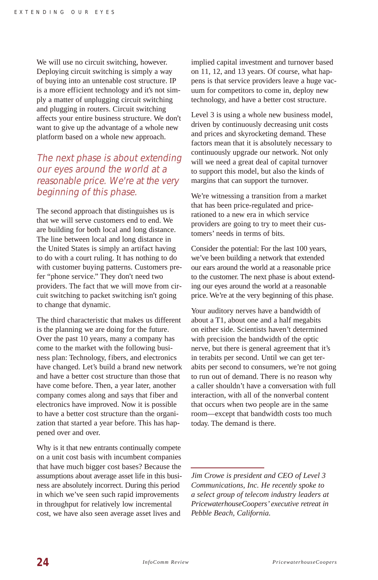We will use no circuit switching, however. Deploying circuit switching is simply a way of buying into an untenable cost structure. IP is a more efficient technology and it's not simply a matter of unplugging circuit switching and plugging in routers. Circuit switching affects your entire business structure. We don't want to give up the advantage of a whole new platform based on a whole new approach.

The next phase is about extending our eyes around the world at a reasonable price. We're at the very beginning of this phase.

The second approach that distinguishes us is that we will serve customers end to end. We are building for both local and long distance. The line between local and long distance in the United States is simply an artifact having to do with a court ruling. It has nothing to do with customer buying patterns. Customers prefer "phone service." They don't need two providers. The fact that we will move from circuit switching to packet switching isn't going to change that dynamic.

The third characteristic that makes us different is the planning we are doing for the future. Over the past 10 years, many a company has come to the market with the following business plan: Technology, fibers, and electronics have changed. Let's build a brand new network and have a better cost structure than those that have come before. Then, a year later, another company comes along and says that fiber and electronics have improved. Now it is possible to have a better cost structure than the organization that started a year before. This has happened over and over.

Why is it that new entrants continually compete on a unit cost basis with incumbent companies that have much bigger cost bases? Because the assumptions about average asset life in this business are absolutely incorrect. During this period in which we've seen such rapid improvements in throughput for relatively low incremental cost, we have also seen average asset lives and

implied capital investment and turnover based on 11, 12, and 13 years. Of course, what happens is that service providers leave a huge vacuum for competitors to come in, deploy new technology, and have a better cost structure.

Level 3 is using a whole new business model, driven by continuously decreasing unit costs and prices and skyrocketing demand. These factors mean that it is absolutely necessary to continuously upgrade our network. Not only will we need a great deal of capital turnover to support this model, but also the kinds of margins that can support the turnover.

We're witnessing a transition from a market that has been price-regulated and pricerationed to a new era in which service providers are going to try to meet their customers' needs in terms of bits.

Consider the potential: For the last 100 years, we've been building a network that extended our ears around the world at a reasonable price to the customer. The next phase is about extending our eyes around the world at a reasonable price. We're at the very beginning of this phase.

Your auditory nerves have a bandwidth of about a T1, about one and a half megabits on either side. Scientists haven't determined with precision the bandwidth of the optic nerve, but there is general agreement that it's in terabits per second. Until we can get terabits per second to consumers, we're not going to run out of demand. There is no reason why a caller shouldn't have a conversation with full interaction, with all of the nonverbal content that occurs when two people are in the same room—except that bandwidth costs too much today. The demand is there.

*Jim Crowe is president and CEO of Level 3 Communications, Inc. He recently spoke to a select group of telecom industry leaders at PricewaterhouseCoopers' executive retreat in Pebble Beach, California.*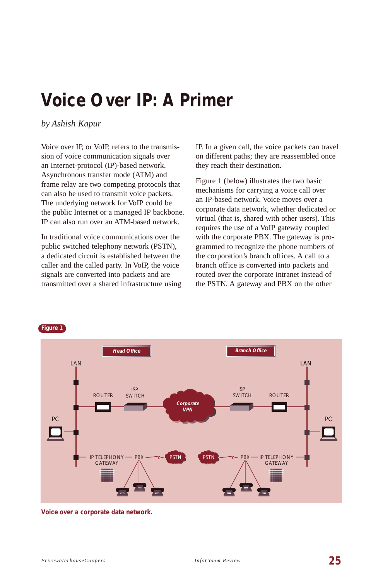### **Voice Over IP: A Primer**

*by Ashish Kapur*

Voice over IP, or VoIP, refers to the transmission of voice communication signals over an Internet-protocol (IP)-based network. Asynchronous transfer mode (ATM) and frame relay are two competing protocols that can also be used to transmit voice packets. The underlying network for VoIP could be the public Internet or a managed IP backbone. IP can also run over an ATM-based network.

In traditional voice communications over the public switched telephony network (PSTN), a dedicated circuit is established between the caller and the called party. In VoIP, the voice signals are converted into packets and are transmitted over a shared infrastructure using IP. In a given call, the voice packets can travel on different paths; they are reassembled once they reach their destination.

Figure 1 (below) illustrates the two basic mechanisms for carrying a voice call over an IP-based network. Voice moves over a corporate data network, whether dedicated or virtual (that is, shared with other users). This requires the use of a VoIP gateway coupled with the corporate PBX. The gateway is programmed to recognize the phone numbers of the corporation's branch offices. A call to a branch office is converted into packets and routed over the corporate intranet instead of the PSTN. A gateway and PBX on the other



### **Figure 1**

**Voice over a corporate data network.**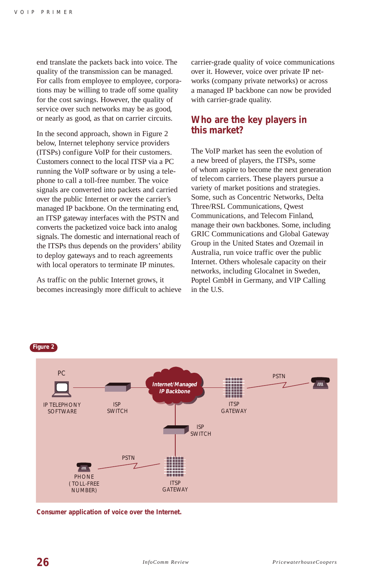end translate the packets back into voice. The quality of the transmission can be managed. For calls from employee to employee, corporations may be willing to trade off some quality for the cost savings. However, the quality of service over such networks may be as good, or nearly as good, as that on carrier circuits.

In the second approach, shown in Figure 2 below, Internet telephony service providers (ITSPs) configure VoIP for their customers. Customers connect to the local ITSP via a PC running the VoIP software or by using a telephone to call a toll-free number. The voice signals are converted into packets and carried over the public Internet or over the carrier's managed IP backbone. On the terminating end, an ITSP gateway interfaces with the PSTN and converts the packetized voice back into analog signals. The domestic and international reach of the ITSPs thus depends on the providers' ability to deploy gateways and to reach agreements with local operators to terminate IP minutes.

As traffic on the public Internet grows, it becomes increasingly more difficult to achieve carrier-grade quality of voice communications over it. However, voice over private IP networks (company private networks) or across a managed IP backbone can now be provided with carrier-grade quality.

### **Who are the key players in this market?**

The VoIP market has seen the evolution of a new breed of players, the ITSPs, some of whom aspire to become the next generation of telecom carriers. These players pursue a variety of market positions and strategies. Some, such as Concentric Networks, Delta Three/RSL Communications, Qwest Communications, and Telecom Finland, manage their own backbones. Some, including GRIC Communications and Global Gateway Group in the United States and Ozemail in Australia, run voice traffic over the public Internet. Others wholesale capacity on their networks, including Glocalnet in Sweden, Poptel GmbH in Germany, and VIP Calling in the U.S.



### **Consumer application of voice over the Internet.**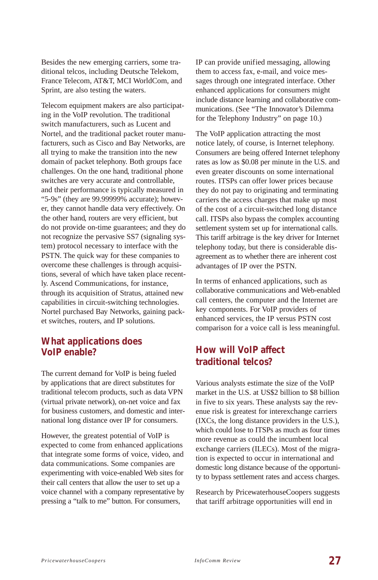Besides the new emerging carriers, some traditional telcos, including Deutsche Telekom, France Telecom, AT&T, MCI WorldCom, and Sprint, are also testing the waters.

Telecom equipment makers are also participating in the VoIP revolution. The traditional switch manufacturers, such as Lucent and Nortel, and the traditional packet router manufacturers, such as Cisco and Bay Networks, are all trying to make the transition into the new domain of packet telephony. Both groups face challenges. On the one hand, traditional phone switches are very accurate and controllable, and their performance is typically measured in "5-9s" (they are 99.99999% accurate); however, they cannot handle data very effectively. On the other hand, routers are very efficient, but do not provide on-time guarantees; and they do not recognize the pervasive SS7 (signaling system) protocol necessary to interface with the PSTN. The quick way for these companies to overcome these challenges is through acquisitions, several of which have taken place recently. Ascend Communications, for instance, through its acquisition of Stratus, attained new capabilities in circuit-switching technologies. Nortel purchased Bay Networks, gaining packet switches, routers, and IP solutions.

### **What applications does VoIP enable?**

The current demand for VoIP is being fueled by applications that are direct substitutes for traditional telecom products, such as data VPN (virtual private network), on-net voice and fax for business customers, and domestic and international long distance over IP for consumers.

However, the greatest potential of VoIP is expected to come from enhanced applications that integrate some forms of voice, video, and data communications. Some companies are experimenting with voice-enabled Web sites for their call centers that allow the user to set up a voice channel with a company representative by pressing a "talk to me" button. For consumers,

IP can provide unified messaging, allowing them to access fax, e-mail, and voice messages through one integrated interface. Other enhanced applications for consumers might include distance learning and collaborative communications. (See "The Innovator's Dilemma for the Telephony Industry" on page 10.)

The VoIP application attracting the most notice lately, of course, is Internet telephony. Consumers are being offered Internet telephony rates as low as \$0.08 per minute in the U.S. and even greater discounts on some international routes. ITSPs can offer lower prices because they do not pay to originating and terminating carriers the access charges that make up most of the cost of a circuit-switched long distance call. ITSPs also bypass the complex accounting settlement system set up for international calls. This tariff arbitrage is the key driver for Internet telephony today, but there is considerable disagreement as to whether there are inherent cost advantages of IP over the PSTN.

In terms of enhanced applications, such as collaborative communications and Web-enabled call centers, the computer and the Internet are key components. For VoIP providers of enhanced services, the IP versus PSTN cost comparison for a voice call is less meaningful.

### **How will VoIP affect traditional telcos?**

Various analysts estimate the size of the VoIP market in the U.S. at US\$2 billion to \$8 billion in five to six years. These analysts say the revenue risk is greatest for interexchange carriers (IXCs, the long distance providers in the U.S.), which could lose to ITSPs as much as four times more revenue as could the incumbent local exchange carriers (ILECs). Most of the migration is expected to occur in international and domestic long distance because of the opportunity to bypass settlement rates and access charges.

Research by PricewaterhouseCoopers suggests that tariff arbitrage opportunities will end in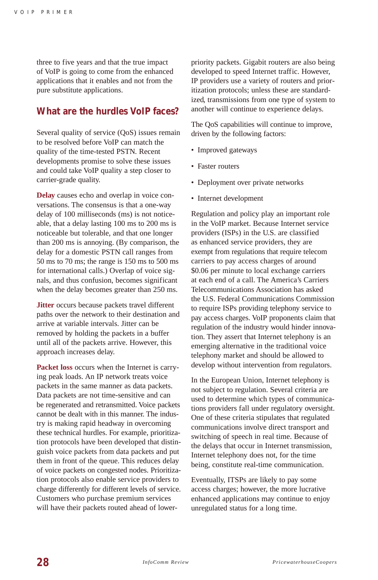three to five years and that the true impact of VoIP is going to come from the enhanced applications that it enables and not from the pure substitute applications.

### **What are the hurdles VoIP faces?**

Several quality of service (QoS) issues remain to be resolved before VoIP can match the quality of the time-tested PSTN. Recent developments promise to solve these issues and could take VoIP quality a step closer to carrier-grade quality.

**Delay** causes echo and overlap in voice conversations. The consensus is that a one-way delay of 100 milliseconds (ms) is not noticeable, that a delay lasting 100 ms to 200 ms is noticeable but tolerable, and that one longer than 200 ms is annoying. (By comparison, the delay for a domestic PSTN call ranges from 50 ms to 70 ms; the range is 150 ms to 500 ms for international calls.) Overlap of voice signals, and thus confusion, becomes significant when the delay becomes greater than 250 ms.

**Jitter** occurs because packets travel different paths over the network to their destination and arrive at variable intervals. Jitter can be removed by holding the packets in a buffer until all of the packets arrive. However, this approach increases delay.

**Packet loss** occurs when the Internet is carrying peak loads. An IP network treats voice packets in the same manner as data packets. Data packets are not time-sensitive and can be regenerated and retransmitted. Voice packets cannot be dealt with in this manner. The industry is making rapid headway in overcoming these technical hurdles. For example, prioritization protocols have been developed that distinguish voice packets from data packets and put them in front of the queue. This reduces delay of voice packets on congested nodes. Prioritization protocols also enable service providers to charge differently for different levels of service. Customers who purchase premium services will have their packets routed ahead of lowerpriority packets. Gigabit routers are also being developed to speed Internet traffic. However, IP providers use a variety of routers and prioritization protocols; unless these are standardized, transmissions from one type of system to another will continue to experience delays.

The QoS capabilities will continue to improve, driven by the following factors:

- Improved gateways
- Faster routers
- Deployment over private networks
- Internet development

Regulation and policy play an important role in the VoIP market. Because Internet service providers (ISPs) in the U.S. are classified as enhanced service providers, they are exempt from regulations that require telecom carriers to pay access charges of around \$0.06 per minute to local exchange carriers at each end of a call. The America's Carriers Telecommunications Association has asked the U.S. Federal Communications Commission to require ISPs providing telephony service to pay access charges. VoIP proponents claim that regulation of the industry would hinder innovation. They assert that Internet telephony is an emerging alternative in the traditional voice telephony market and should be allowed to develop without intervention from regulators.

In the European Union, Internet telephony is not subject to regulation. Several criteria are used to determine which types of communications providers fall under regulatory oversight. One of these criteria stipulates that regulated communications involve direct transport and switching of speech in real time. Because of the delays that occur in Internet transmission, Internet telephony does not, for the time being, constitute real-time communication.

Eventually, ITSPs are likely to pay some access charges; however, the more lucrative enhanced applications may continue to enjoy unregulated status for a long time.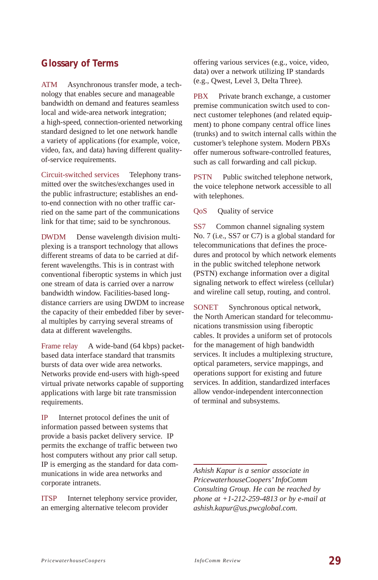### **Glossary of Terms**

ATM Asynchronous transfer mode, a technology that enables secure and manageable bandwidth on demand and features seamless local and wide-area network integration; a high-speed, connection-oriented networking standard designed to let one network handle a variety of applications (for example, voice, video, fax, and data) having different qualityof-service requirements.

Circuit-switched services Telephony transmitted over the switches/exchanges used in the public infrastructure; establishes an endto-end connection with no other traffic carried on the same part of the communications link for that time; said to be synchronous.

DWDM Dense wavelength division multiplexing is a transport technology that allows different streams of data to be carried at different wavelengths. This is in contrast with conventional fiberoptic systems in which just one stream of data is carried over a narrow bandwidth window. Facilities-based longdistance carriers are using DWDM to increase the capacity of their embedded fiber by several multiples by carrying several streams of data at different wavelengths.

Frame relay A wide-band (64 kbps) packetbased data interface standard that transmits bursts of data over wide area networks. Networks provide end-users with high-speed virtual private networks capable of supporting applications with large bit rate transmission requirements.

IP Internet protocol defines the unit of information passed between systems that provide a basis packet delivery service. IP permits the exchange of traffic between two host computers without any prior call setup. IP is emerging as the standard for data communications in wide area networks and corporate intranets.

ITSP Internet telephony service provider, an emerging alternative telecom provider

offering various services (e.g., voice, video, data) over a network utilizing IP standards (e.g., Qwest, Level 3, Delta Three).

PBX Private branch exchange, a customer premise communication switch used to connect customer telephones (and related equipment) to phone company central office lines (trunks) and to switch internal calls within the customer's telephone system. Modern PBXs offer numerous software-controlled features, such as call forwarding and call pickup.

PSTN Public switched telephone network, the voice telephone network accessible to all with telephones.

QoS Quality of service

SS7 Common channel signaling system No. 7 (i.e., SS7 or C7) is a global standard for telecommunications that defines the procedures and protocol by which network elements in the public switched telephone network (PSTN) exchange information over a digital signaling network to effect wireless (cellular) and wireline call setup, routing, and control.

SONET Synchronous optical network, the North American standard for telecommunications transmission using fiberoptic cables. It provides a uniform set of protocols for the management of high bandwidth services. It includes a multiplexing structure, optical parameters, service mappings, and operations support for existing and future services. In addition, standardized interfaces allow vendor-independent interconnection of terminal and subsystems.

*Ashish Kapur is a senior associate in PricewaterhouseCoopers' InfoComm Consulting Group. He can be reached by phone at +1-212-259-4813 or by e-mail at ashish.kapur@us.pwcglobal.com.*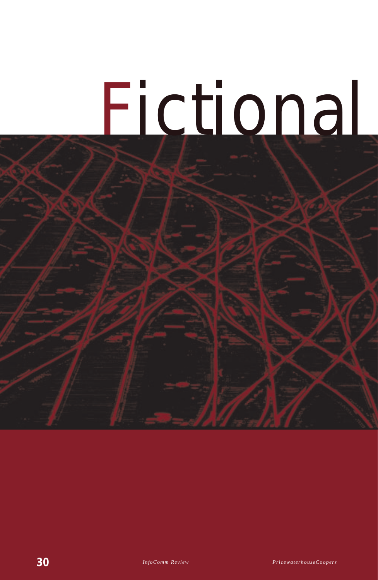# Fictional

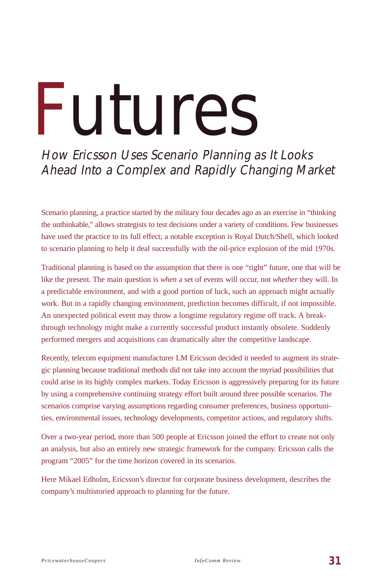# Futures

How Ericsson Uses Scenario Planning as It Looks Ahead Into a Complex and Rapidly Changing Market

Scenario planning, a practice started by the military four decades ago as an exercise in "thinking the unthinkable," allows strategists to test decisions under a variety of conditions. Few businesses have used the practice to its full effect; a notable exception is Royal Dutch/Shell, which looked to scenario planning to help it deal successfully with the oil-price explosion of the mid 1970s.

Traditional planning is based on the assumption that there is one "right" future, one that will be like the present. The main question is *when* a set of events will occur, not *whether* they will. In a predictable environment, and with a good portion of luck, such an approach might actually work. But in a rapidly changing environment, prediction becomes difficult, if not impossible. An unexpected political event may throw a longtime regulatory regime off track. A breakthrough technology might make a currently successful product instantly obsolete. Suddenly performed mergers and acquisitions can dramatically alter the competitive landscape.

Recently, telecom equipment manufacturer LM Ericsson decided it needed to augment its strategic planning because traditional methods did not take into account the myriad possibilities that could arise in its highly complex markets. Today Ericsson is aggressively preparing for its future by using a comprehensive continuing strategy effort built around three possible scenarios. The scenarios comprise varying assumptions regarding consumer preferences, business opportunities, environmental issues, technology developments, competitor actions, and regulatory shifts.

Over a two-year period, more than 500 people at Ericsson joined the effort to create not only an analysis, but also an entirely new strategic framework for the company. Ericsson calls the program "2005" for the time horizon covered in its scenarios.

Here Mikael Edholm, Ericsson's director for corporate business development, describes the company's multistoried approach to planning for the future.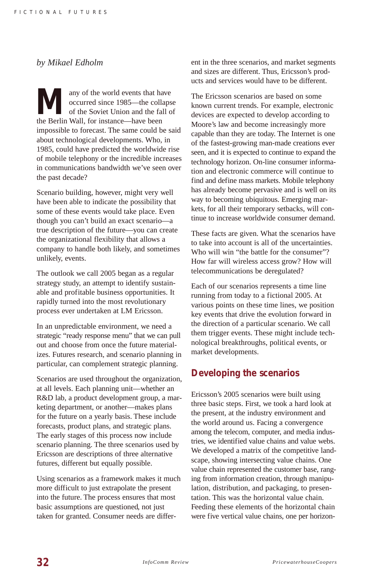### *by Mikael Edholm*

**M**any of the world events that have<br>occurred since 1985—the collaps<br>of the Soviet Union and the fall of<br>the Berlin Wall, for instance—have been occurred since 1985—the collapse of the Soviet Union and the fall of the Berlin Wall, for instance—have been impossible to forecast. The same could be said about technological developments. Who, in 1985, could have predicted the worldwide rise of mobile telephony or the incredible increases in communications bandwidth we've seen over the past decade?

Scenario building, however, might very well have been able to indicate the possibility that some of these events would take place. Even though you can't build an exact scenario—a true description of the future—you can create the organizational flexibility that allows a company to handle both likely, and sometimes unlikely, events.

The outlook we call 2005 began as a regular strategy study, an attempt to identify sustainable and profitable business opportunities. It rapidly turned into the most revolutionary process ever undertaken at LM Ericsson.

In an unpredictable environment, we need a strategic "ready response menu" that we can pull out and choose from once the future materializes. Futures research, and scenario planning in particular, can complement strategic planning.

Scenarios are used throughout the organization, at all levels. Each planning unit—whether an R&D lab, a product development group, a marketing department, or another—makes plans for the future on a yearly basis. These include forecasts, product plans, and strategic plans. The early stages of this process now include scenario planning. The three scenarios used by Ericsson are descriptions of three alternative futures, different but equally possible.

Using scenarios as a framework makes it much more difficult to just extrapolate the present into the future. The process ensures that most basic assumptions are questioned, not just taken for granted. Consumer needs are different in the three scenarios, and market segments and sizes are different. Thus, Ericsson's products and services would have to be different.

The Ericsson scenarios are based on some known current trends. For example, electronic devices are expected to develop according to Moore's law and become increasingly more capable than they are today. The Internet is one of the fastest-growing man-made creations ever seen, and it is expected to continue to expand the technology horizon. On-line consumer information and electronic commerce will continue to find and define mass markets. Mobile telephony has already become pervasive and is well on its way to becoming ubiquitous. Emerging markets, for all their temporary setbacks, will continue to increase worldwide consumer demand.

These facts are given. What the scenarios have to take into account is all of the uncertainties. Who will win "the battle for the consumer"? How far will wireless access grow? How will telecommunications be deregulated?

Each of our scenarios represents a time line running from today to a fictional 2005. At various points on these time lines, we position key events that drive the evolution forward in the direction of a particular scenario. We call them trigger events. These might include technological breakthroughs, political events, or market developments.

### **Developing the scenarios**

Ericsson's 2005 scenarios were built using three basic steps. First, we took a hard look at the present, at the industry environment and the world around us. Facing a convergence among the telecom, computer, and media industries, we identified value chains and value webs. We developed a matrix of the competitive landscape, showing intersecting value chains. One value chain represented the customer base, ranging from information creation, through manipulation, distribution, and packaging, to presentation. This was the horizontal value chain. Feeding these elements of the horizontal chain were five vertical value chains, one per horizon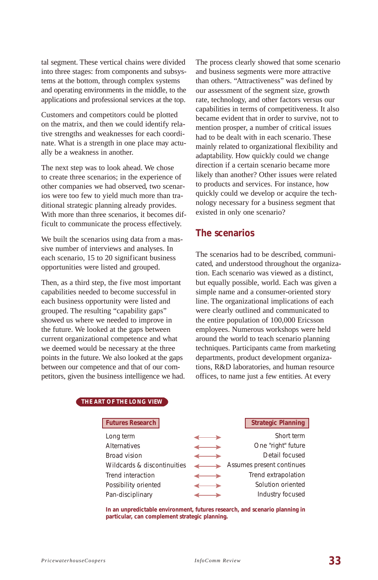tal segment. These vertical chains were divided into three stages: from components and subsystems at the bottom, through complex systems and operating environments in the middle, to the applications and professional services at the top.

Customers and competitors could be plotted on the matrix, and then we could identify relative strengths and weaknesses for each coordinate. What is a strength in one place may actually be a weakness in another.

The next step was to look ahead. We chose to create three scenarios; in the experience of other companies we had observed, two scenarios were too few to yield much more than traditional strategic planning already provides. With more than three scenarios, it becomes difficult to communicate the process effectively.

We built the scenarios using data from a massive number of interviews and analyses. In each scenario, 15 to 20 significant business opportunities were listed and grouped.

Then, as a third step, the five most important capabilities needed to become successful in each business opportunity were listed and grouped. The resulting "capability gaps" showed us where we needed to improve in the future. We looked at the gaps between current organizational competence and what we deemed would be necessary at the three points in the future. We also looked at the gaps between our competence and that of our competitors, given the business intelligence we had. The process clearly showed that some scenario and business segments were more attractive than others. "Attractiveness" was defined by our assessment of the segment size, growth rate, technology, and other factors versus our capabilities in terms of competitiveness. It also became evident that in order to survive, not to mention prosper, a number of critical issues had to be dealt with in each scenario. These mainly related to organizational flexibility and adaptability. How quickly could we change direction if a certain scenario became more likely than another? Other issues were related to products and services. For instance, how quickly could we develop or acquire the technology necessary for a business segment that existed in only one scenario?

### **The scenarios**

The scenarios had to be described, communicated, and understood throughout the organization. Each scenario was viewed as a distinct, but equally possible, world. Each was given a simple name and a consumer-oriented story line. The organizational implications of each were clearly outlined and communicated to the entire population of 100,000 Ericsson employees. Numerous workshops were held around the world to teach scenario planning techniques. Participants came from marketing departments, product development organizations, R&D laboratories, and human resource offices, to name just a few entities. At every

| <b>Futures Research</b>     | <b>Strategic Planning</b> |
|-----------------------------|---------------------------|
| Long term                   | Short term                |
| <b>Alternatives</b>         | One "right" future        |
| Broad vision                | Detail focused            |
| Wildcards & discontinuities | Assumes present continues |
| Trend interaction           | Trend extrapolation       |
| Possibility oriented        | Solution oriented         |
| Pan-disciplinary            | Industry focused          |

**In an unpredictable environment, futures research, and scenario planning in particular, can complement strategic planning.**

### **THE ART OF THE LONG VIEW**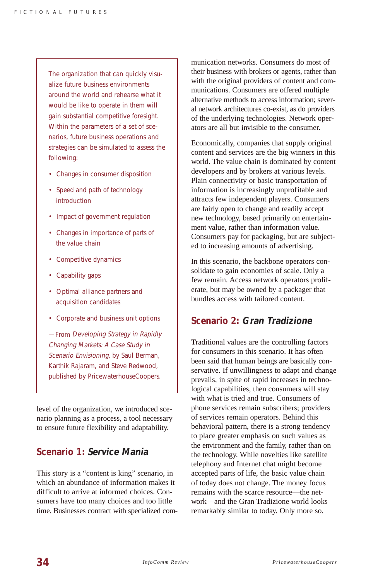The organization that can quickly visualize future business environments around the world and rehearse what it would be like to operate in them will gain substantial competitive foresight. Within the parameters of a set of scenarios, future business operations and strategies can be simulated to assess the following:

- Changes in consumer disposition
- Speed and path of technology **introduction**
- Impact of government regulation
- Changes in importance of parts of the value chain
- Competitive dynamics
- Capability gaps
- Optimal alliance partners and acquisition candidates
- Corporate and business unit options

—From Developing Strategy in Rapidly Changing Markets: A Case Study in Scenario Envisioning, by Saul Berman, Karthik Rajaram, and Steve Redwood, published by PricewaterhouseCoopers.

level of the organization, we introduced scenario planning as a process, a tool necessary to ensure future flexibility and adaptability.

### **Scenario 1: Service Mania**

This story is a "content is king" scenario, in which an abundance of information makes it difficult to arrive at informed choices. Consumers have too many choices and too little time. Businesses contract with specialized com-

munication networks. Consumers do most of their business with brokers or agents, rather than with the original providers of content and communications. Consumers are offered multiple alternative methods to access information; several network architectures co-exist, as do providers of the underlying technologies. Network operators are all but invisible to the consumer.

Economically, companies that supply original content and services are the big winners in this world. The value chain is dominated by content developers and by brokers at various levels. Plain connectivity or basic transportation of information is increasingly unprofitable and attracts few independent players. Consumers are fairly open to change and readily accept new technology, based primarily on entertainment value, rather than information value. Consumers pay for packaging, but are subjected to increasing amounts of advertising.

In this scenario, the backbone operators consolidate to gain economies of scale. Only a few remain. Access network operators proliferate, but may be owned by a packager that bundles access with tailored content.

### **Scenario 2: Gran Tradizione**

Traditional values are the controlling factors for consumers in this scenario. It has often been said that human beings are basically conservative. If unwillingness to adapt and change prevails, in spite of rapid increases in technological capabilities, then consumers will stay with what is tried and true. Consumers of phone services remain subscribers; providers of services remain operators. Behind this behavioral pattern, there is a strong tendency to place greater emphasis on such values as the environment and the family, rather than on the technology. While novelties like satellite telephony and Internet chat might become accepted parts of life, the basic value chain of today does not change. The money focus remains with the scarce resource—the network—and the Gran Tradizione world looks remarkably similar to today. Only more so.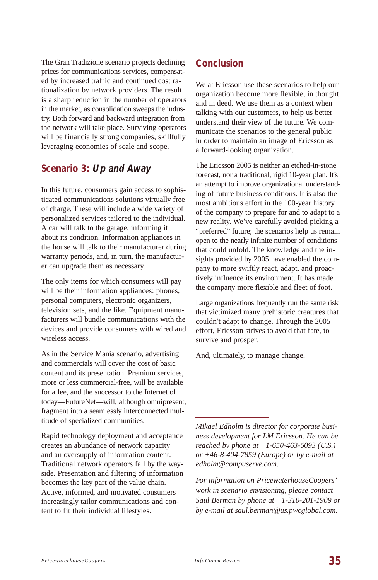The Gran Tradizione scenario projects declining prices for communications services, compensated by increased traffic and continued cost rationalization by network providers. The result is a sharp reduction in the number of operators in the market, as consolidation sweeps the industry. Both forward and backward integration from the network will take place. Surviving operators will be financially strong companies, skillfully leveraging economies of scale and scope.

### **Scenario 3: Up and Away**

In this future, consumers gain access to sophisticated communications solutions virtually free of charge. These will include a wide variety of personalized services tailored to the individual. A car will talk to the garage, informing it about its condition. Information appliances in the house will talk to their manufacturer during warranty periods, and, in turn, the manufacturer can upgrade them as necessary.

The only items for which consumers will pay will be their information appliances: phones, personal computers, electronic organizers, television sets, and the like. Equipment manufacturers will bundle communications with the devices and provide consumers with wired and wireless access.

As in the Service Mania scenario, advertising and commercials will cover the cost of basic content and its presentation. Premium services, more or less commercial-free, will be available for a fee, and the successor to the Internet of today—FutureNet—will, although omnipresent, fragment into a seamlessly interconnected multitude of specialized communities.

Rapid technology deployment and acceptance creates an abundance of network capacity and an oversupply of information content. Traditional network operators fall by the wayside. Presentation and filtering of information becomes the key part of the value chain. Active, informed, and motivated consumers increasingly tailor communications and content to fit their individual lifestyles.

### **Conclusion**

We at Ericsson use these scenarios to help our organization become more flexible, in thought and in deed. We use them as a context when talking with our customers, to help us better understand their view of the future. We communicate the scenarios to the general public in order to maintain an image of Ericsson as a forward-looking organization.

The Ericsson 2005 is neither an etched-in-stone forecast, nor a traditional, rigid 10-year plan. It's an attempt to improve organizational understanding of future business conditions. It is also the most ambitious effort in the 100-year history of the company to prepare for and to adapt to a new reality. We've carefully avoided picking a "preferred" future; the scenarios help us remain open to the nearly infinite number of conditions that could unfold. The knowledge and the insights provided by 2005 have enabled the company to more swiftly react, adapt, and proactively influence its environment. It has made the company more flexible and fleet of foot.

Large organizations frequently run the same risk that victimized many prehistoric creatures that couldn't adapt to change. Through the 2005 effort, Ericsson strives to avoid that fate, to survive and prosper.

And, ultimately, to manage change.

*Mikael Edholm is director for corporate business development for LM Ericsson. He can be reached by phone at +1-650-463-6093 (U.S.) or +46-8-404-7859 (Europe) or by e-mail at edholm@compuserve.com.*

*For information on PricewaterhouseCoopers' work in scenario envisioning, please contact Saul Berman by phone at +1-310-201-1909 or by e-mail at saul.berman@us.pwcglobal.com.*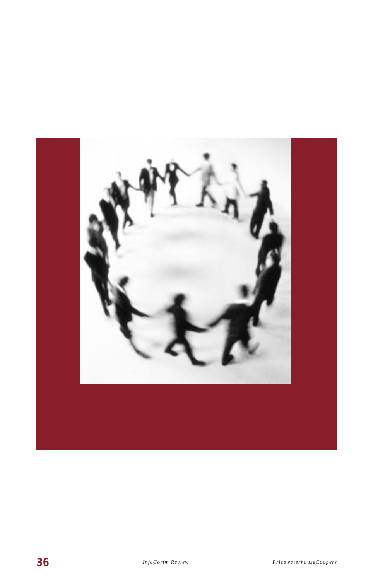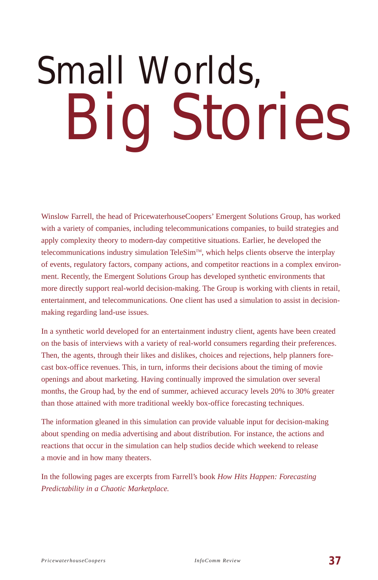# Small Worlds, Big Stories

Winslow Farrell, the head of PricewaterhouseCoopers' Emergent Solutions Group, has worked with a variety of companies, including telecommunications companies, to build strategies and apply complexity theory to modern-day competitive situations. Earlier, he developed the telecommunications industry simulation TeleSim<sup>TM</sup>, which helps clients observe the interplay of events, regulatory factors, company actions, and competitor reactions in a complex environment. Recently, the Emergent Solutions Group has developed synthetic environments that more directly support real-world decision-making. The Group is working with clients in retail, entertainment, and telecommunications. One client has used a simulation to assist in decisionmaking regarding land-use issues.

In a synthetic world developed for an entertainment industry client, agents have been created on the basis of interviews with a variety of real-world consumers regarding their preferences. Then, the agents, through their likes and dislikes, choices and rejections, help planners forecast box-office revenues. This, in turn, informs their decisions about the timing of movie openings and about marketing. Having continually improved the simulation over several months, the Group had, by the end of summer, achieved accuracy levels 20% to 30% greater than those attained with more traditional weekly box-office forecasting techniques.

The information gleaned in this simulation can provide valuable input for decision-making about spending on media advertising and about distribution. For instance, the actions and reactions that occur in the simulation can help studios decide which weekend to release a movie and in how many theaters.

In the following pages are excerpts from Farrell's book *How Hits Happen: Forecasting Predictability in a Chaotic Marketplace.*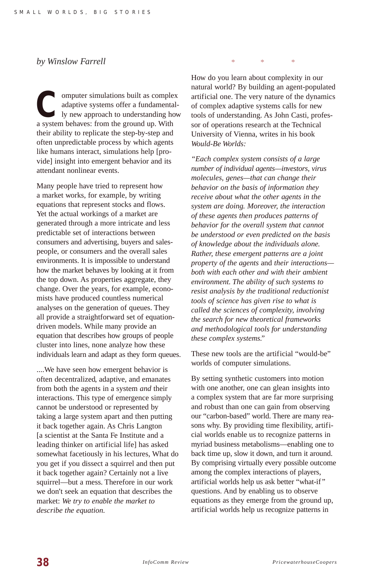### *by Winslow Farrell \*\* \**

**Computer simulations built as complex** adaptive systems offer a fundamentally new approach to understanding how a system behaves: from the ground up. With adaptive systems offer a fundamentally new approach to understanding how their ability to replicate the step-by-step and often unpredictable process by which agents like humans interact, simulations help [provide] insight into emergent behavior and its attendant nonlinear events.

Many people have tried to represent how a market works, for example, by writing equations that represent stocks and flows. Yet the actual workings of a market are generated through a more intricate and less predictable set of interactions between consumers and advertising, buyers and salespeople, or consumers and the overall sales environments. It is impossible to understand how the market behaves by looking at it from the top down. As properties aggregate, they change. Over the years, for example, economists have produced countless numerical analyses on the generation of queues. They all provide a straightforward set of equationdriven models. While many provide an equation that describes how groups of people cluster into lines, none analyze how these individuals learn and adapt as they form queues.

....We have seen how emergent behavior is often decentralized, adaptive, and emanates from both the agents in a system *and* their interactions. This type of emergence simply cannot be understood or represented by taking a large system apart and then putting it back together again. As Chris Langton [a scientist at the Santa Fe Institute and a leading thinker on artificial life] has asked somewhat facetiously in his lectures, What do you get if you dissect a squirrel and then put it back together again? Certainly not a live squirrel—but a mess. Therefore in our work we don't seek an equation that describes the market: *We try to enable the market to describe the equation.*

How do you learn about complexity in our natural world? By building an agent-populated artificial one. The very nature of the dynamics of complex adaptive systems calls for new tools of understanding. As John Casti, professor of operations research at the Technical University of Vienna, writes in his book *Would-Be Worlds:*

*"Each complex system consists of a large number of individual agents—investors, virus molecules, genes—that can change their behavior on the basis of information they receive about what the other agents in the system are doing. Moreover, the interaction of these agents then produces patterns of behavior for the overall system that cannot be understood or even predicted on the basis of knowledge about the individuals alone. Rather, these emergent patterns are a joint property of the agents* and *their interactions both with each other and with their ambient environment. The ability of such systems to resist analysis by the traditional reductionist tools of science has given rise to what is called the sciences of complexity, involving the search for new theoretical frameworks and methodological tools for understanding these complex systems."*

These new tools are the artificial "would-be" worlds of computer simulations.

By setting synthetic customers into motion with one another, one can glean insights into a complex system that are far more surprising and robust than one can gain from observing our "carbon-based" world. There are many reasons why. By providing time flexibility, artificial worlds enable us to recognize patterns in myriad business metabolisms—enabling one to back time up, slow it down, and turn it around. By comprising virtually every possible outcome among the complex interactions of players, artificial worlds help us ask better "what-if " questions. And by enabling us to observe equations as they emerge from the ground up, artificial worlds help us recognize patterns in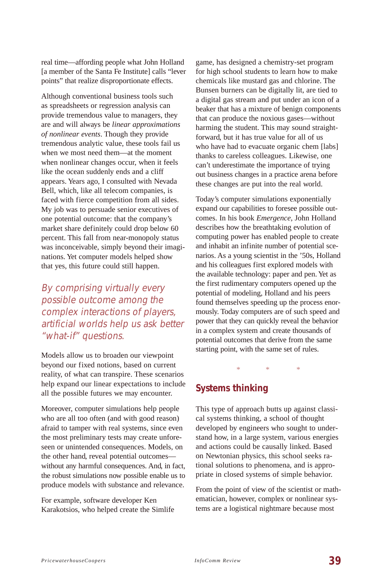real time—affording people what John Holland [a member of the Santa Fe Institute] calls "lever points" that realize disproportionate effects.

Although conventional business tools such as spreadsheets or regression analysis can provide tremendous value to managers, they are and will always be *linear approximations of nonlinear events*. Though they provide tremendous analytic value, these tools fail us when we most need them—at the moment when nonlinear changes occur, when it feels like the ocean suddenly ends and a cliff appears. Years ago, I consulted with Nevada Bell, which, like all telecom companies, is faced with fierce competition from all sides. My job was to persuade senior executives of one potential outcome: that the company's market share definitely could drop below 60 percent. This fall from near-monopoly status was inconceivable, simply beyond their imaginations. Yet computer models helped show that yes, this future could still happen.

By comprising virtually every possible outcome among the complex interactions of players, artificial worlds help us ask better "what-if" questions.

Models allow us to broaden our viewpoint beyond our fixed notions, based on current reality, of what can transpire. These scenarios help expand our linear expectations to include all the possible futures we may encounter.

Moreover, computer simulations help people who are all too often (and with good reason) afraid to tamper with real systems, since even the most preliminary tests may create unforeseen or unintended consequences. Models, on the other hand, reveal potential outcomes without any harmful consequences. And, in fact, the robust simulations now possible enable us to produce models with substance and relevance.

For example, software developer Ken Karakotsios, who helped create the Simlife

game, has designed a chemistry-set program for high school students to learn how to make chemicals like mustard gas and chlorine. The Bunsen burners can be digitally lit, are tied to a digital gas stream and put under an icon of a beaker that has a mixture of benign components that can produce the noxious gases—without harming the student. This may sound straightforward, but it has true value for all of us who have had to evacuate organic chem [labs] thanks to careless colleagues. Likewise, one can't underestimate the importance of trying out business changes in a practice arena before these changes are put into the real world.

Today's computer simulations exponentially expand our capabilities to foresee possible outcomes. In his book *Emergence*, John Holland describes how the breathtaking evolution of computing power has enabled people to create and inhabit an infinite number of potential scenarios. As a young scientist in the '50s, Holland and his colleagues first explored models with the available technology: paper and pen. Yet as the first rudimentary computers opened up the potential of modeling, Holland and his peers found themselves speeding up the process enormously. Today computers are of such speed and power that they can quickly reveal the behavior in a complex system and create thousands of potential outcomes that derive from the same starting point, with the same set of rules.

*\*\* \**

### **Systems thinking**

This type of approach butts up against classical systems thinking, a school of thought developed by engineers who sought to understand how, in a large system, various energies and actions could be causally linked. Based on Newtonian physics, this school seeks rational solutions to phenomena, and is appropriate in closed systems of simple behavior.

From the point of view of the scientist or mathematician, however, complex or nonlinear systems are a logistical nightmare because most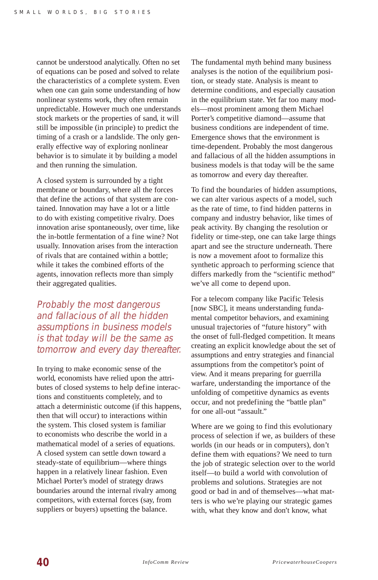cannot be understood analytically. Often no set of equations can be posed and solved to relate the characteristics of a complete system. Even when one can gain some understanding of how nonlinear systems work, they often remain unpredictable. However much one understands stock markets or the properties of sand, it will still be impossible (in principle) to predict the timing of a crash or a landslide. The only generally effective way of exploring nonlinear behavior is to simulate it by building a model and then running the simulation.

A closed system is surrounded by a tight membrane or boundary, where all the forces that define the actions of that system are contained. Innovation may have a lot or a little to do with existing competitive rivalry. Does innovation arise spontaneously, over time, like the in-bottle fermentation of a fine wine? Not usually. Innovation arises from the interaction of rivals that are contained within a bottle; while it takes the combined efforts of the agents, innovation reflects more than simply their aggregated qualities.

Probably the most dangerous and fallacious of all the hidden assumptions in business models is that today will be the same as tomorrow and every day thereafter.

In trying to make economic sense of the world, economists have relied upon the attributes of closed systems to help define interactions and constituents completely, and to attach a deterministic outcome (if this happens, then that will occur) to interactions within the system. This closed system is familiar to economists who describe the world in a mathematical model of a series of equations. A closed system can settle down toward a steady-state of equilibrium—where things happen in a relatively linear fashion. Even Michael Porter's model of strategy draws boundaries around the internal rivalry among competitors, with external forces (say, from suppliers or buyers) upsetting the balance.

The fundamental myth behind many business analyses is the notion of the equilibrium position, or steady state. Analysis is meant to determine conditions, and especially causation in the equilibrium state. Yet far too many models—most prominent among them Michael Porter's competitive diamond—assume that business conditions are independent of time. Emergence shows that the environment is time-dependent. Probably the most dangerous and fallacious of all the hidden assumptions in business models is that today will be the same as tomorrow and every day thereafter.

To find the boundaries of hidden assumptions, we can alter various aspects of a model, such as the rate of time, to find hidden patterns in company and industry behavior, like times of peak activity. By changing the resolution or fidelity or time-step, one can take large things apart and see the structure underneath. There is now a movement afoot to formalize this synthetic approach to performing science that differs markedly from the "scientific method" we've all come to depend upon.

For a telecom company like Pacific Telesis [now SBC], it means understanding fundamental competitor behaviors, and examining unusual trajectories of "future history" with the onset of full-fledged competition. It means creating an explicit knowledge about the set of assumptions and entry strategies and financial assumptions from the competitor's point of view. And it means preparing for guerrilla warfare, understanding the importance of the unfolding of competitive dynamics as events occur, and not predefining the "battle plan" for one all-out "assault."

Where are we going to find this evolutionary process of selection if we, as builders of these worlds (in our heads or in computers), don't define them with equations? We need to turn the job of strategic selection over to the world itself—to build a world with convolution of problems and solutions. Strategies are not good or bad in and of themselves—what matters is who we're playing our strategic games with, what they know and don't know, what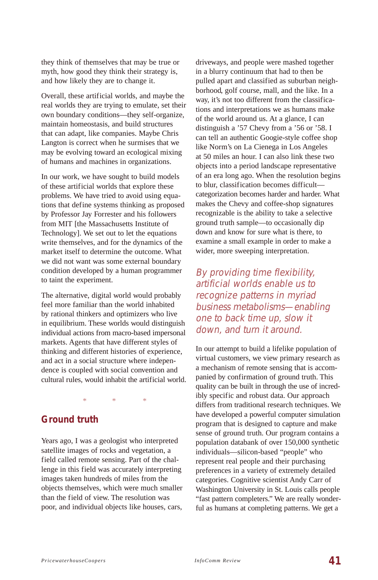they think of themselves that may be true or myth, how good they think their strategy is, and how likely they are to change it.

Overall, these artificial worlds, and maybe the real worlds they are trying to emulate, set their own boundary conditions—they self-organize, maintain homeostasis, and build structures that can adapt, like companies. Maybe Chris Langton is correct when he surmises that we may be evolving toward an ecological mixing of humans and machines in organizations.

In our work, we have sought to build models of these artificial worlds that explore these problems. We have tried to avoid using equations that define systems thinking as proposed by Professor Jay Forrester and his followers from MIT [the Massachusetts Institute of Technology]. We set out to let the equations write themselves, and for the dynamics of the market itself to determine the outcome. What we did not want was some external boundary condition developed by a human programmer to taint the experiment.

The alternative, digital world would probably feel more familiar than the world inhabited by rational thinkers and optimizers who live in equilibrium. These worlds would distinguish individual actions from macro-based impersonal markets. Agents that have different styles of thinking and different histories of experience, and act in a social structure where independence is coupled with social convention and cultural rules, would inhabit the artificial world.

*\*\* \**

### **Ground truth**

Years ago, I was a geologist who interpreted satellite images of rocks and vegetation, a field called remote sensing. Part of the challenge in this field was accurately interpreting images taken hundreds of miles from the objects themselves, which were much smaller than the field of view. The resolution was poor, and individual objects like houses, cars,

driveways, and people were mashed together in a blurry continuum that had to then be pulled apart and classified as suburban neighborhood, golf course, mall, and the like. In a way, it's not too different from the classifications and interpretations we as humans make of the world around us. At a glance, I can distinguish a '57 Chevy from a '56 or '58. I can tell an authentic Googie-style coffee shop like Norm's on La Cienega in Los Angeles at 50 miles an hour. I can also link these two objects into a period landscape representative of an era long ago. When the resolution begins to blur, classification becomes difficult categorization becomes harder and harder. What makes the Chevy and coffee-shop signatures recognizable is the ability to take a selective ground truth sample—to occasionally dip down and know for sure what is there, to examine a small example in order to make a wider, more sweeping interpretation.

By providing time flexibility, artificial worlds enable us to recognize patterns in myriad business metabolisms—enabling one to back time up, slow it down, and turn it around.

In our attempt to build a lifelike population of virtual customers, we view primary research as a mechanism of remote sensing that is accompanied by confirmation of ground truth. This quality can be built in through the use of incredibly specific and robust data. Our approach differs from traditional research techniques. We have developed a powerful computer simulation program that is designed to capture and make sense of ground truth. Our program contains a population databank of over 150,000 synthetic individuals—silicon-based "people" who represent real people and their purchasing preferences in a variety of extremely detailed categories. Cognitive scientist Andy Carr of Washington University in St. Louis calls people "fast pattern completers." We are really wonderful as humans at completing patterns. We get a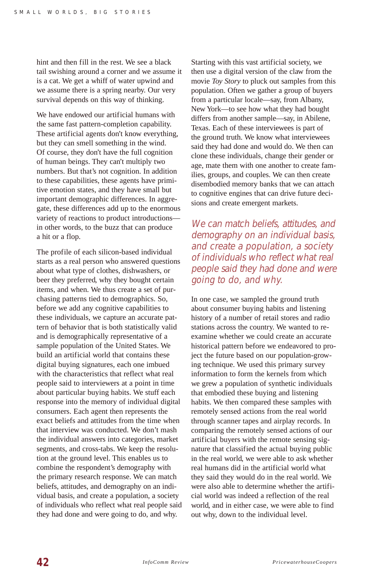hint and then fill in the rest. We see a black tail swishing around a corner and we assume it is a cat. We get a whiff of water upwind and we assume there is a spring nearby. Our very survival depends on this way of thinking.

We have endowed our artificial humans with the same fast pattern-completion capability. These artificial agents don't know everything, but they can smell something in the wind. Of course, they don't have the full cognition of human beings. They can't multiply two numbers. But that's not cognition. In addition to these capabilities, these agents have primitive emotion states, and they have small but important demographic differences. In aggregate, these differences add up to the enormous variety of reactions to product introductions in other words, to the buzz that can produce a hit or a flop.

The profile of each silicon-based individual starts as a real person who answered questions about what type of clothes, dishwashers, or beer they preferred, why they bought certain items, and when. We thus create a set of purchasing patterns tied to demographics. So, before we add any cognitive capabilities to these individuals, we capture an accurate pattern of behavior that is both statistically valid and is demographically representative of a sample population of the United States. We build an artificial world that contains these digital buying signatures, each one imbued with the characteristics that reflect what real people said to interviewers at a point in time about particular buying habits. We stuff each response into the memory of individual digital consumers. Each agent then represents the exact beliefs and attitudes from the time when that interview was conducted. We don't mash the individual answers into categories, market segments, and cross-tabs. We keep the resolution at the ground level. This enables us to combine the respondent's demography with the primary research response. We can match beliefs, attitudes, and demography on an individual basis, and create a population, a society of individuals who reflect what real people said they had done and were going to do, and why.

Starting with this vast artificial society, we then use a digital version of the claw from the movie *Toy Story* to pluck out samples from this population. Often we gather a group of buyers from a particular locale—say, from Albany, New York—to see how what they had bought differs from another sample—say, in Abilene, Texas. Each of these interviewees is part of the ground truth. We know what interviewees said they had done and would do. We then can clone these individuals, change their gender or age, mate them with one another to create families, groups, and couples. We can then create disembodied memory banks that we can attach to cognitive engines that can drive future decisions and create emergent markets.

We can match beliefs, attitudes, and demography on an individual basis, and create a population, a society of individuals who reflect what real people said they had done and were going to do, and why.

In one case, we sampled the ground truth about consumer buying habits and listening history of a number of retail stores and radio stations across the country. We wanted to reexamine whether we could create an accurate historical pattern before we endeavored to project the future based on our population-growing technique. We used this primary survey information to form the kernels from which we grew a population of synthetic individuals that embodied these buying and listening habits. We then compared these samples with remotely sensed actions from the real world through scanner tapes and airplay records. In comparing the remotely sensed actions of our artificial buyers with the remote sensing signature that classified the actual buying public in the real world, we were able to ask whether real humans did in the artificial world what they said they would do in the real world. We were also able to determine whether the artificial world was indeed a reflection of the real world, and in either case, we were able to find out why, down to the individual level.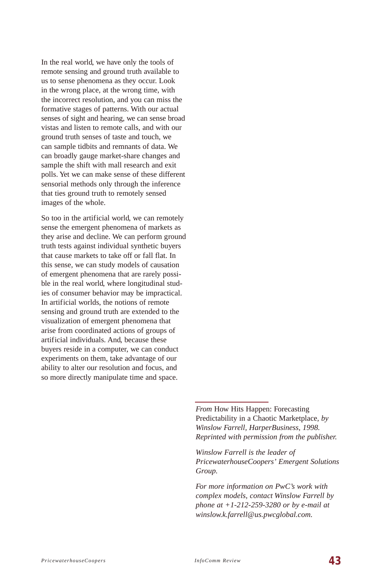In the real world, we have only the tools of remote sensing and ground truth available to us to sense phenomena as they occur. Look in the wrong place, at the wrong time, with the incorrect resolution, and you can miss the formative stages of patterns. With our actual senses of sight and hearing, we can sense broad vistas and listen to remote calls, and with our ground truth senses of taste and touch, we can sample tidbits and remnants of data. We can broadly gauge market-share changes and sample the shift with mall research and exit polls. Yet we can make sense of these different sensorial methods only through the inference that ties ground truth to remotely sensed images of the whole.

So too in the artificial world, we can remotely sense the emergent phenomena of markets as they arise and decline. We can perform ground truth tests against individual synthetic buyers that cause markets to take off or fall flat. In this sense, we can study models of causation of emergent phenomena that are rarely possible in the real world, where longitudinal studies of consumer behavior may be impractical. In artificial worlds, the notions of remote sensing and ground truth are extended to the visualization of emergent phenomena that arise from coordinated actions of groups of artificial individuals. And, because these buyers reside in a computer, we can conduct experiments on them, take advantage of our ability to alter our resolution and focus, and so more directly manipulate time and space.

> *From How Hits Happen: Forecasting* Predictability in a Chaotic Marketplace*, by Winslow Farrell, HarperBusiness, 1998. Reprinted with permission from the publisher.*

*Winslow Farrell is the leader of PricewaterhouseCoopers' Emergent Solutions Group.*

*For more information on PwC's work with complex models, contact Winslow Farrell by phone at +1-212-259-3280 or by e-mail at winslow.k.farrell@us.pwcglobal.com.*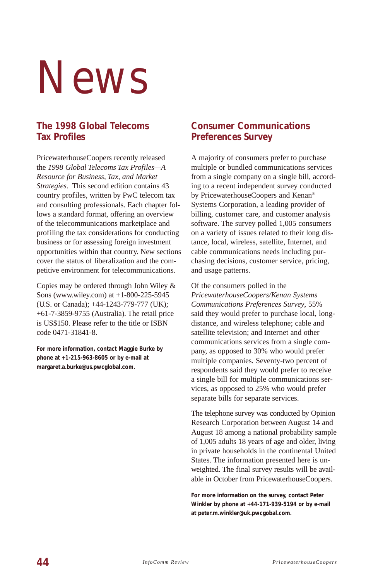# News

### **The 1998 Global Telecoms Tax Profiles**

PricewaterhouseCoopers recently released the *1998 Global Telecoms Tax Profiles—A Resource for Business, Tax, and Market Strategies*. This second edition contains 43 country profiles, written by PwC telecom tax and consulting professionals. Each chapter follows a standard format, offering an overview of the telecommunications marketplace and profiling the tax considerations for conducting business or for assessing foreign investment opportunities within that country. New sections cover the status of liberalization and the competitive environment for telecommunications.

Copies may be ordered through John Wiley & Sons (www.wiley.com) at +1-800-225-5945 (U.S. or Canada); +44-1243-779-777 (UK); +61-7-3859-9755 (Australia). The retail price is US\$150. Please refer to the title or ISBN code 0471-31841-8.

**For more information, contact Maggie Burke by phone at +1-215-963-8605 or by e-mail at margaret.a.burke@us.pwcglobal.com.**

### **Consumer Communications Preferences Survey**

A majority of consumers prefer to purchase multiple or bundled communications services from a single company on a single bill, according to a recent independent survey conducted by PricewaterhouseCoopers and Kenan® Systems Corporation, a leading provider of billing, customer care, and customer analysis software. The survey polled 1,005 consumers on a variety of issues related to their long distance, local, wireless, satellite, Internet, and cable communications needs including purchasing decisions, customer service, pricing, and usage patterns.

Of the consumers polled in the *PricewaterhouseCoopers/Kenan Systems Communications Preferences Survey*, 55% said they would prefer to purchase local, longdistance, and wireless telephone; cable and satellite television; and Internet and other communications services from a single company, as opposed to 30% who would prefer multiple companies. Seventy-two percent of respondents said they would prefer to receive a single bill for multiple communications services, as opposed to 25% who would prefer separate bills for separate services.

The telephone survey was conducted by Opinion Research Corporation between August 14 and August 18 among a national probability sample of 1,005 adults 18 years of age and older, living in private households in the continental United States. The information presented here is unweighted. The final survey results will be available in October from PricewaterhouseCoopers.

**For more information on the survey, contact Peter Winkler by phone at +44-171-939-5194 or by e-mail at peter.m.winkler@uk.pwcgobal.com.**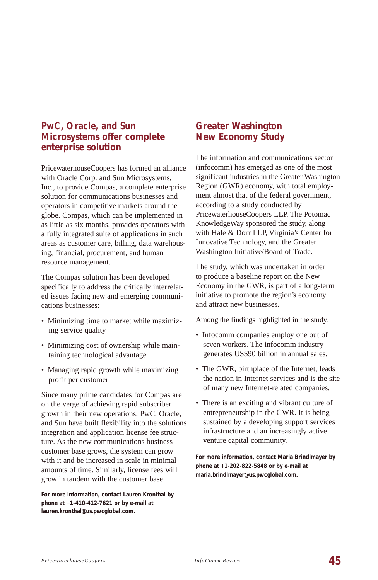### **PwC, Oracle, and Sun Microsystems offer complete enterprise solution**

PricewaterhouseCoopers has formed an alliance with Oracle Corp. and Sun Microsystems, Inc., to provide Compas, a complete enterprise solution for communications businesses and operators in competitive markets around the globe. Compas, which can be implemented in as little as six months, provides operators with a fully integrated suite of applications in such areas as customer care, billing, data warehousing, financial, procurement, and human resource management.

The Compas solution has been developed specifically to address the critically interrelated issues facing new and emerging communications businesses:

- Minimizing time to market while maximizing service quality
- Minimizing cost of ownership while maintaining technological advantage
- Managing rapid growth while maximizing profit per customer

Since many prime candidates for Compas are on the verge of achieving rapid subscriber growth in their new operations, PwC, Oracle, and Sun have built flexibility into the solutions integration and application license fee structure. As the new communications business customer base grows, the system can grow with it and be increased in scale in minimal amounts of time. Similarly, license fees will grow in tandem with the customer base.

**For more information, contact Lauren Kronthal by phone at +1-410-412-7621 or by e-mail at lauren.kronthal@us.pwcglobal.com.** 

### **Greater Washington New Economy Study**

The information and communications sector (infocomm) has emerged as one of the most significant industries in the Greater Washington Region (GWR) economy, with total employment almost that of the federal government, according to a study conducted by PricewaterhouseCoopers LLP. The Potomac KnowledgeWay sponsored the study, along with Hale & Dorr LLP, Virginia's Center for Innovative Technology, and the Greater Washington Initiative/Board of Trade.

The study, which was undertaken in order to produce a baseline report on the New Economy in the GWR, is part of a long-term initiative to promote the region's economy and attract new businesses.

Among the findings highlighted in the study:

- Infocomm companies employ one out of seven workers. The infocomm industry generates US\$90 billion in annual sales.
- The GWR, birthplace of the Internet, leads the nation in Internet services and is the site of many new Internet-related companies.
- There is an exciting and vibrant culture of entrepreneurship in the GWR. It is being sustained by a developing support services infrastructure and an increasingly active venture capital community.

**For more information, contact Maria Brindlmayer by phone at +1-202-822-5848 or by e-mail at maria.brindlmayer@us.pwcglobal.com.**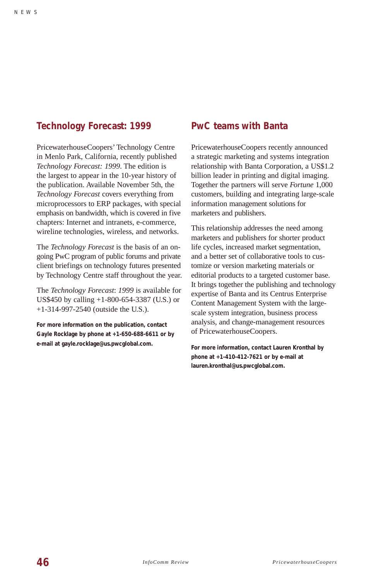### **Technology Forecast: 1999**

PricewaterhouseCoopers' Technology Centre in Menlo Park, California, recently published *Technology Forecast: 1999*. The edition is the largest to appear in the 10-year history of the publication. Available November 5th, the *Technology Forecast* covers everything from microprocessors to ERP packages, with special emphasis on bandwidth, which is covered in five chapters: Internet and intranets, e-commerce, wireline technologies, wireless, and networks.

The *Technology Forecast* is the basis of an ongoing PwC program of public forums and private client briefings on technology futures presented by Technology Centre staff throughout the year.

The *Technology Forecast*: *1999* is available for US\$450 by calling +1-800-654-3387 (U.S.) or +1-314-997-2540 (outside the U.S.).

**For more information on the publication, contact Gayle Rocklage by phone at +1-650-688-6611 or by e-mail at gayle.rocklage@us.pwcglobal.com.**

### **PwC teams with Banta**

PricewaterhouseCoopers recently announced a strategic marketing and systems integration relationship with Banta Corporation, a US\$1.2 billion leader in printing and digital imaging. Together the partners will serve *Fortune* 1,000 customers, building and integrating large-scale information management solutions for marketers and publishers.

This relationship addresses the need among marketers and publishers for shorter product life cycles, increased market segmentation, and a better set of collaborative tools to customize or version marketing materials or editorial products to a targeted customer base. It brings together the publishing and technology expertise of Banta and its Centrus Enterprise Content Management System with the largescale system integration, business process analysis, and change-management resources of PricewaterhouseCoopers.

**For more information, contact Lauren Kronthal by phone at +1-410-412-7621 or by e-mail at lauren.kronthal@us.pwcglobal.com.**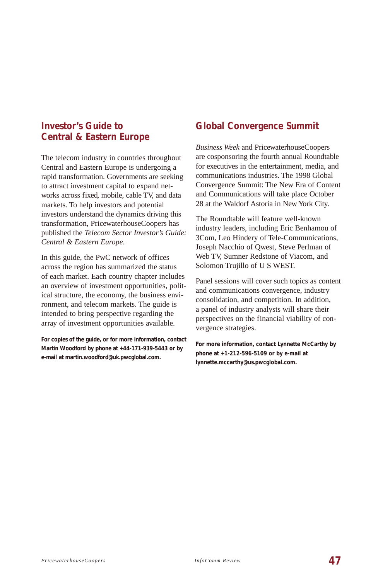### **Investor's Guide to Central & Eastern Europe**

The telecom industry in countries throughout Central and Eastern Europe is undergoing a rapid transformation. Governments are seeking to attract investment capital to expand networks across fixed, mobile, cable TV, and data markets. To help investors and potential investors understand the dynamics driving this transformation, PricewaterhouseCoopers has published the *Telecom Sector Investor's Guide: Central & Eastern Europe*.

In this guide, the PwC network of offices across the region has summarized the status of each market. Each country chapter includes an overview of investment opportunities, political structure, the economy, the business environment, and telecom markets. The guide is intended to bring perspective regarding the array of investment opportunities available.

**For copies of the guide, or for more information, contact Martin Woodford by phone at +44-171-939-5443 or by e-mail at martin.woodford@uk.pwcglobal.com.**

### **Global Convergence Summit**

*Business Week* and PricewaterhouseCoopers are cosponsoring the fourth annual Roundtable for executives in the entertainment, media, and communications industries. The 1998 Global Convergence Summit: The New Era of Content and Communications will take place October 28 at the Waldorf Astoria in New York City.

The Roundtable will feature well-known industry leaders, including Eric Benhamou of 3Com, Leo Hindery of Tele-Communications, Joseph Nacchio of Qwest, Steve Perlman of Web TV, Sumner Redstone of Viacom, and Solomon Trujillo of U S WEST.

Panel sessions will cover such topics as content and communications convergence, industry consolidation, and competition. In addition, a panel of industry analysts will share their perspectives on the financial viability of convergence strategies.

**For more information, contact Lynnette McCarthy by phone at +1-212-596-5109 or by e-mail at lynnette.mccarthy@us.pwcglobal.com.**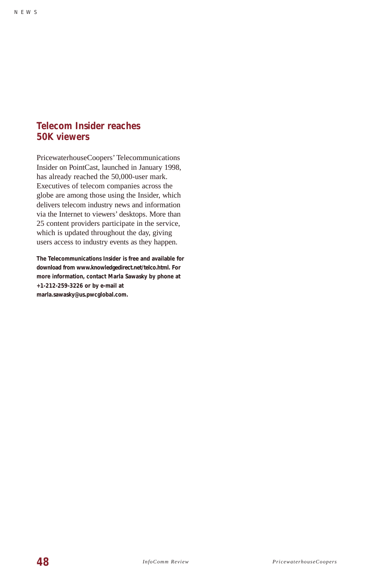### **Telecom Insider reaches 50K viewers**

PricewaterhouseCoopers' Telecommunications Insider on PointCast, launched in January 1998, has already reached the 50,000-user mark. Executives of telecom companies across the globe are among those using the Insider, which delivers telecom industry news and information via the Internet to viewers' desktops. More than 25 content providers participate in the service, which is updated throughout the day, giving users access to industry events as they happen.

**The Telecommunications Insider is free and available for download from www.knowledgedirect.net/telco.html. For more information, contact Marla Sawasky by phone at +1-212-259-3226 or by e-mail at marla.sawasky@us.pwcglobal.com.**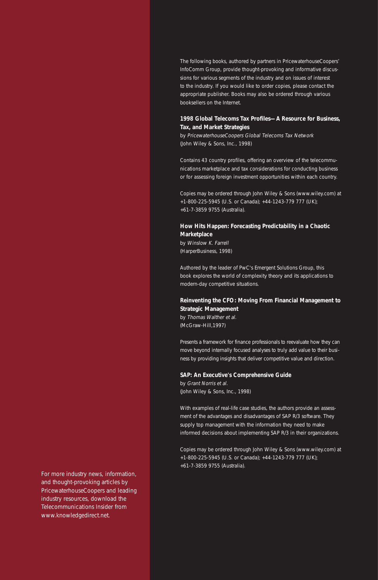The following books, authored by partners in PricewaterhouseCoopers' InfoComm Group, provide thought-provoking and informative discussions for various segments of the industry and on issues of interest to the industry. If you would like to order copies, please contact the appropriate publisher. Books may also be ordered through various booksellers on the Internet.

### **1998 Global Telecoms Tax Profiles—A Resource for Business, Tax, and Market Strategies**

by PricewaterhouseCoopers Global Telecoms Tax Network (John Wiley & Sons, Inc., 1998)

Contains 43 country profiles, offering an overview of the telecommunications marketplace and tax considerations for conducting business or for assessing foreign investment opportunities within each country.

Copies may be ordered through John Wiley & Sons (www.wiley.com) at +1-800-225-5945 (U.S. or Canada); +44-1243-779 777 (UK); +61-7-3859 9755 (Australia).

### **How Hits Happen: Forecasting Predictability in a Chaotic Marketplace**

by Winslow K. Farrell (HarperBusiness, 1998)

Authored by the leader of PwC's Emergent Solutions Group, this book explores the world of complexity theory and its applications to modern-day competitive situations.

### **Reinventing the CFO: Moving From Financial Management to Strategic Management**

by Thomas Walther et al. (McGraw-Hill,1997)

Presents a framework for finance professionals to reevaluate how they can move beyond internally focused analyses to truly add value to their business by providing insights that deliver competitive value and direction.

#### **SAP: An Executive's Comprehensive Guide** by Grant Norris et al.

(John Wiley & Sons, Inc., 1998)

With examples of real-life case studies, the authors provide an assessment of the advantages and disadvantages of SAP R/3 software. They supply top management with the information they need to make informed decisions about implementing SAP R/3 in their organizations.

Copies may be ordered through John Wiley & Sons (www.wiley.com) at +1-800-225-5945 (U.S. or Canada); +44-1243-779 777 (UK); +61-7-3859 9755 (Australia).

For more industry news, information, and thought-provoking articles by PricewaterhouseCoopers and leading industry resources, download the Telecommunications Insider from www.knowledgedirect.net.